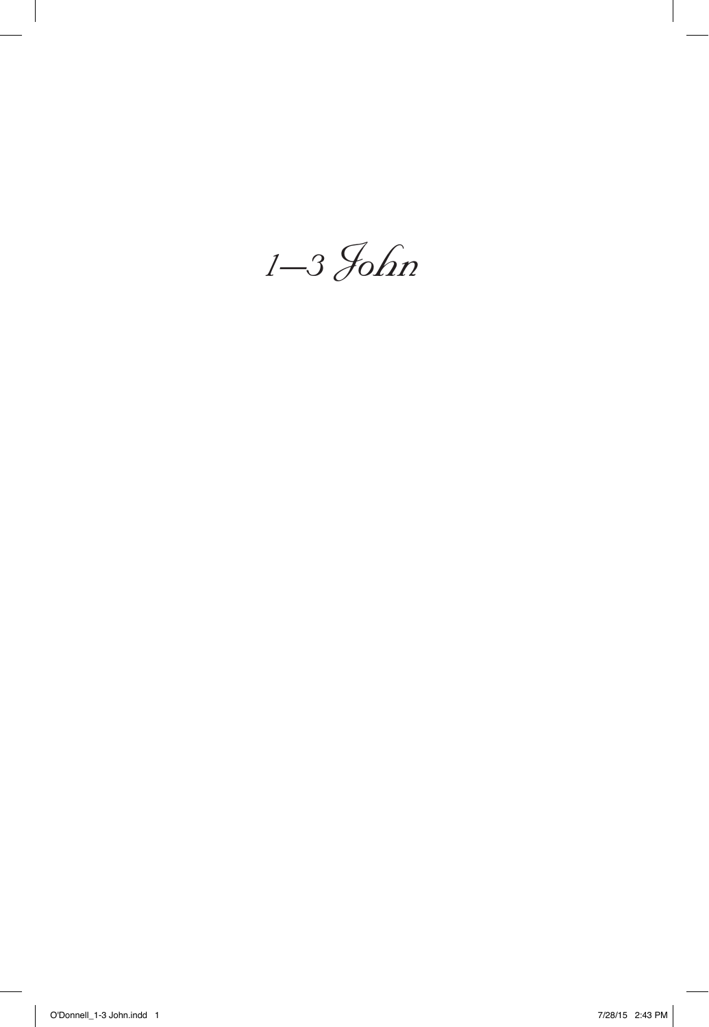*1–3 John*

 $\overline{\phantom{a}}$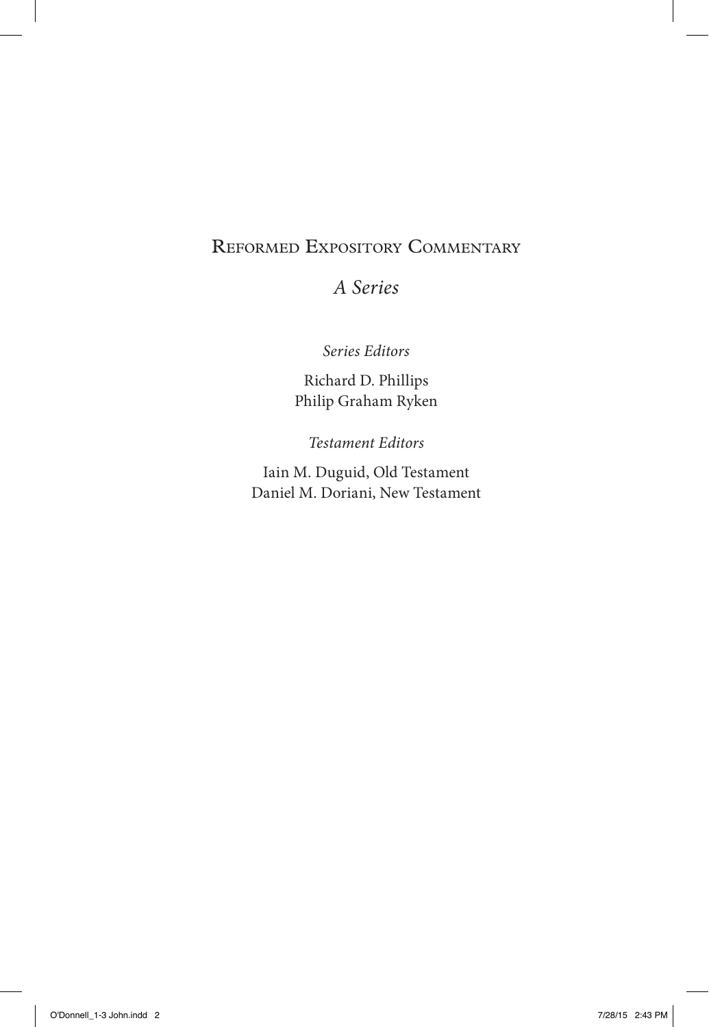## Reformed Expository Commentary

*A Series*

*Series Editors*

Richard D. Phillips Philip Graham Ryken

*Testament Editors*

Iain M. Duguid, Old Testament Daniel M. Doriani, New Testament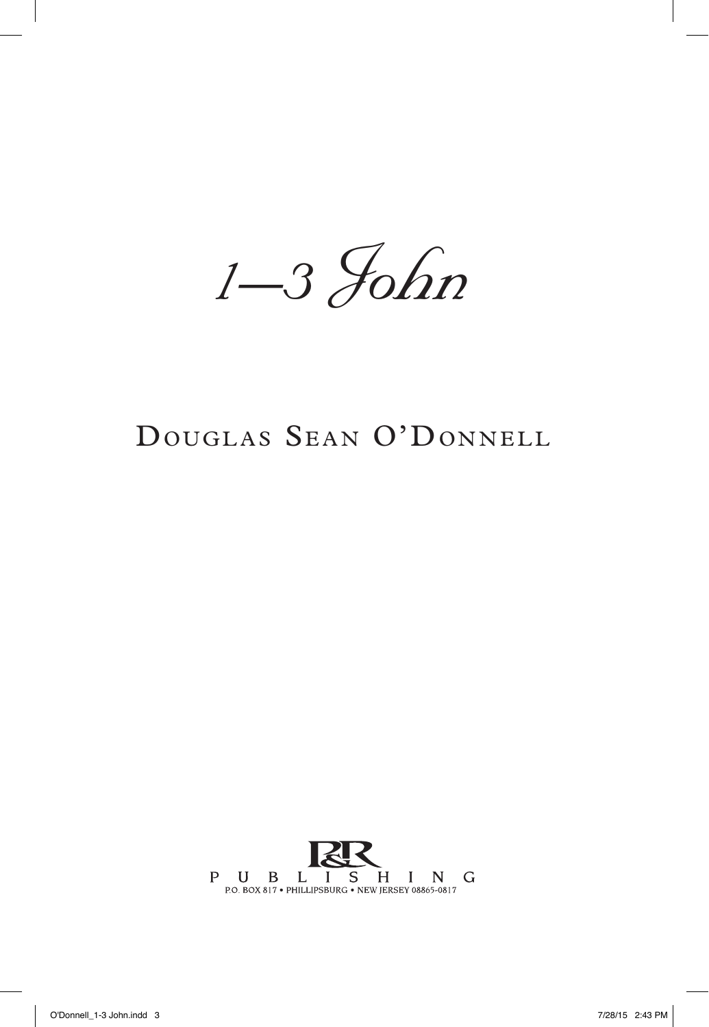*1–3 John*

# DOUGLAS SEAN O'DONNELL

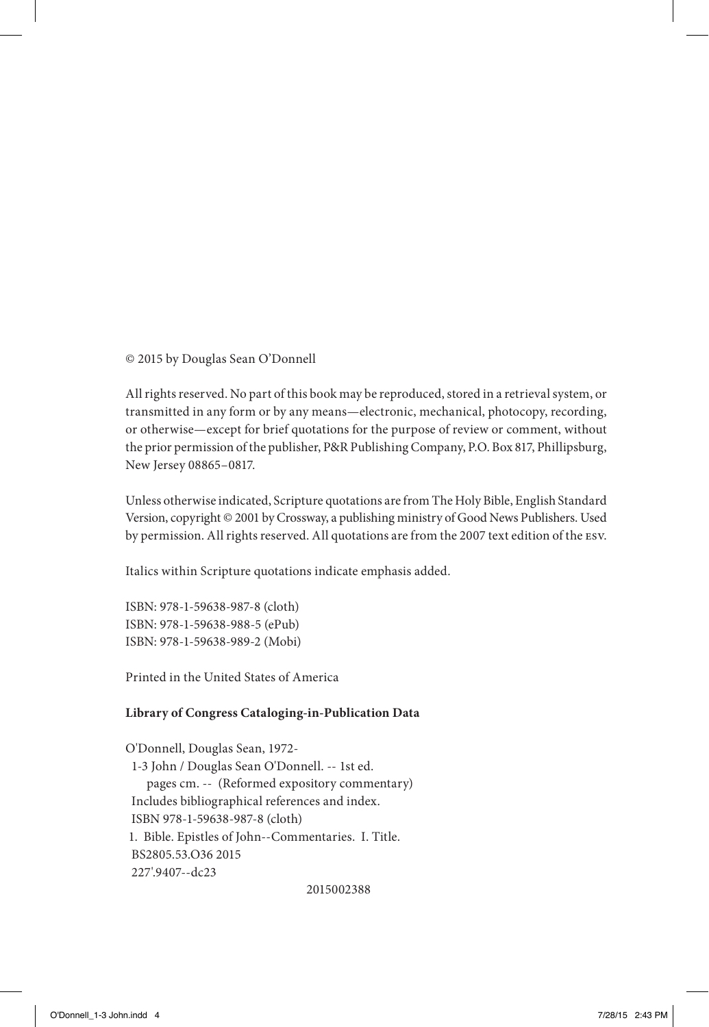© 2015 by Douglas Sean O'Donnell

All rights reserved. No part of this book may be reproduced, stored in a retrieval system, or transmitted in any form or by any means—electronic, mechanical, photocopy, recording, or otherwise—except for brief quotations for the purpose of review or comment, without the prior permission of the publisher, P&R Publishing Company, P.O. Box 817, Phillipsburg, New Jersey 08865–0817.

Unless otherwise indicated, Scripture quotations are from The Holy Bible, English Standard Version, copyright © 2001 by Crossway, a publishing ministry of Good News Publishers. Used by permission. All rights reserved. All quotations are from the 2007 text edition of the esv.

Italics within Scripture quotations indicate emphasis added.

ISBN: 978-1-59638-987-8 (cloth) ISBN: 978-1-59638-988-5 (ePub) ISBN: 978-1-59638-989-2 (Mobi)

Printed in the United States of America

### **Library of Congress Cataloging-in-Publication Data**

O'Donnell, Douglas Sean, 1972- 1-3 John / Douglas Sean O'Donnell. -- 1st ed. pages cm. -- (Reformed expository commentary) Includes bibliographical references and index. ISBN 978-1-59638-987-8 (cloth) 1. Bible. Epistles of John--Commentaries. I. Title. BS2805.53.O36 2015 227'.9407--dc23

2015002388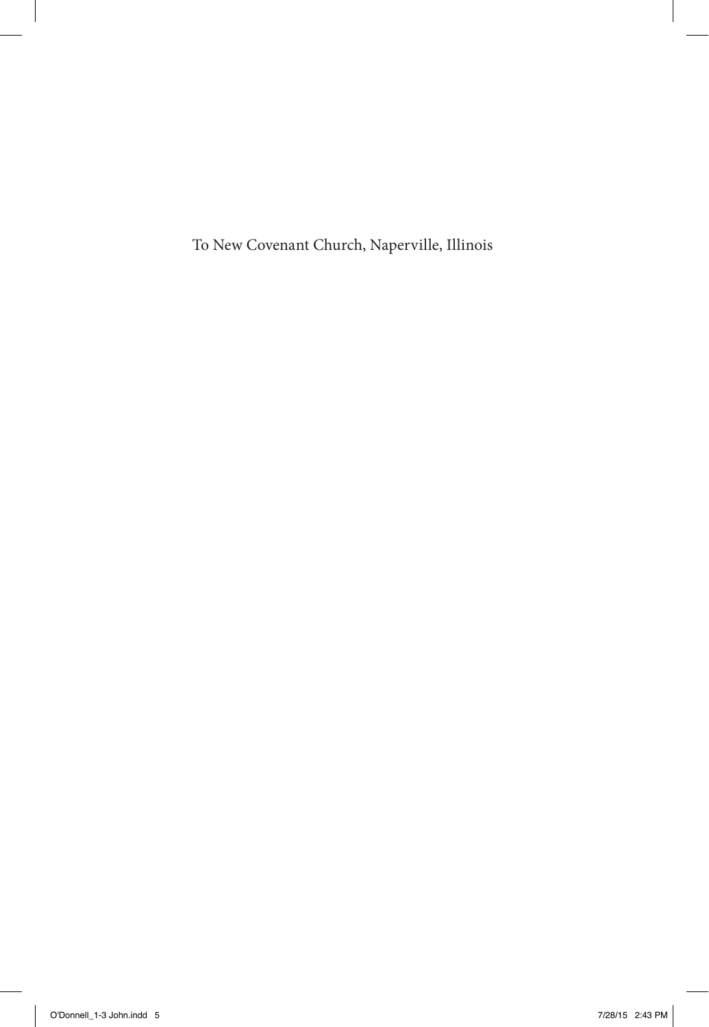To New Covenant Church, Naperville, Illinois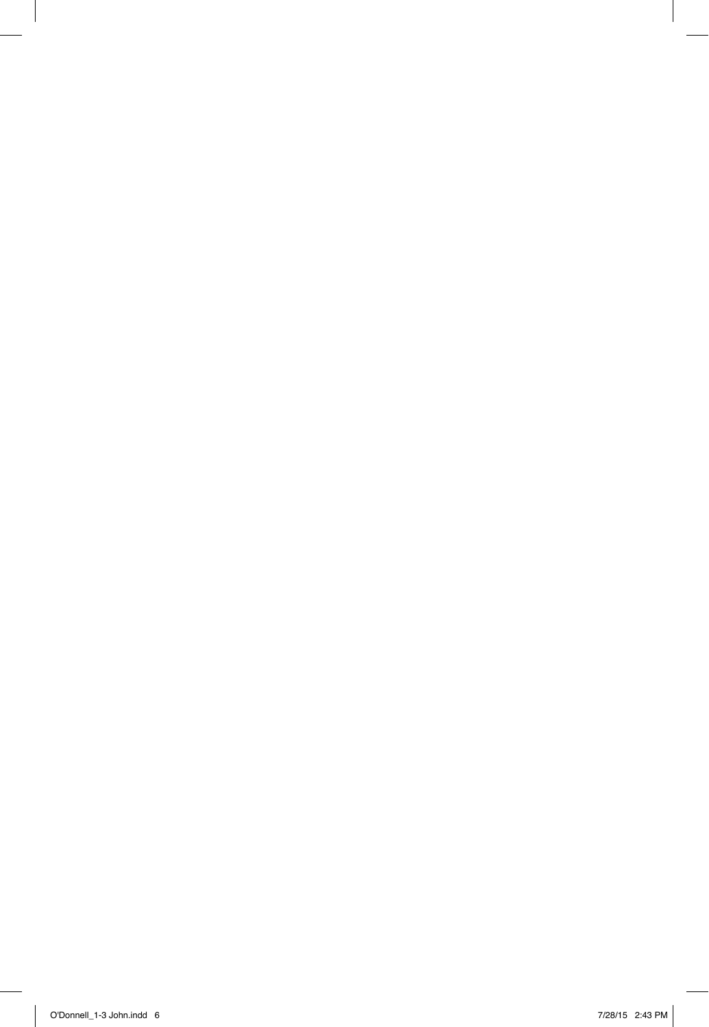$\overline{\phantom{a}}$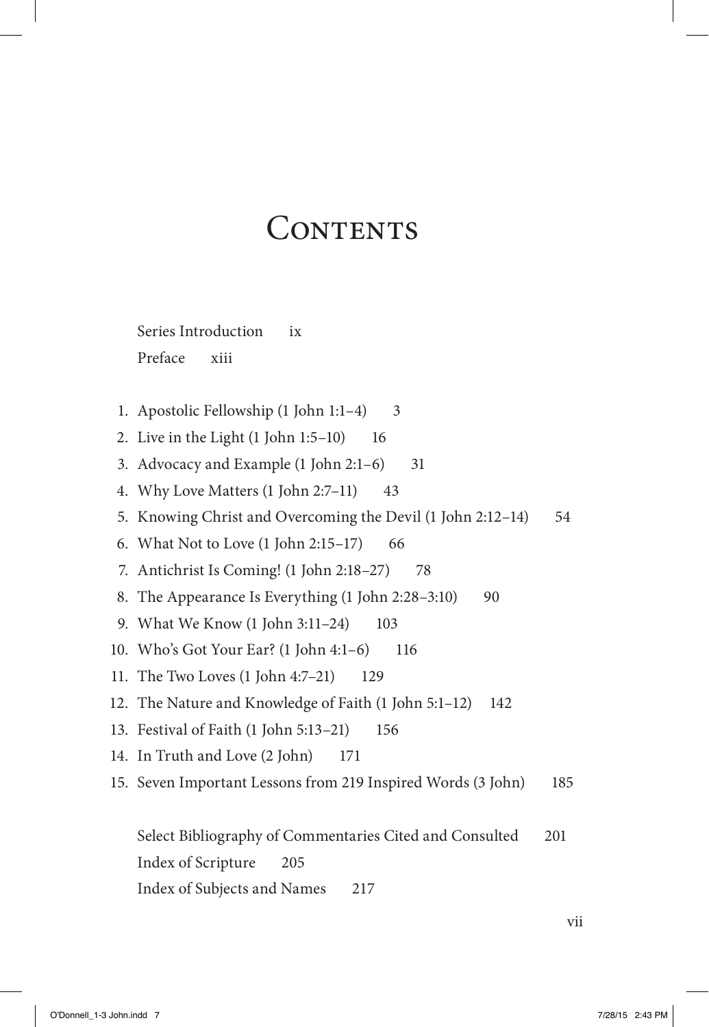## CONTENTS

 Series Introduction ix Preface xiii

- 1. Apostolic Fellowship (1 John 1:1–4) 3
- 2. Live in the Light (1 John 1:5–10) 16
- 3. Advocacy and Example (1 John 2:1–6) 31
- 4. Why Love Matters (1 John 2:7–11) 43
- 5. Knowing Christ and Overcoming the Devil (1 John 2:12–14) 54
- 6. What Not to Love (1 John 2:15–17) 66
- 7. Antichrist Is Coming! (1 John 2:18–27) 78
- 8. The Appearance Is Everything (1 John 2:28–3:10) 90
- 9. What We Know (1 John 3:11–24) 103
- 10. Who's Got Your Ear? (1 John 4:1–6) 116
- 11. The Two Loves (1 John 4:7–21) 129
- 12. The Nature and Knowledge of Faith (1 John 5:1–12) 142
- 13. Festival of Faith (1 John 5:13–21) 156
- 14. In Truth and Love (2 John) 171
- 15. Seven Important Lessons from 219 Inspired Words (3 John) 185

Select Bibliography of Commentaries Cited and Consulted 201 Index of Scripture 205 Index of Subjects and Names 217

vii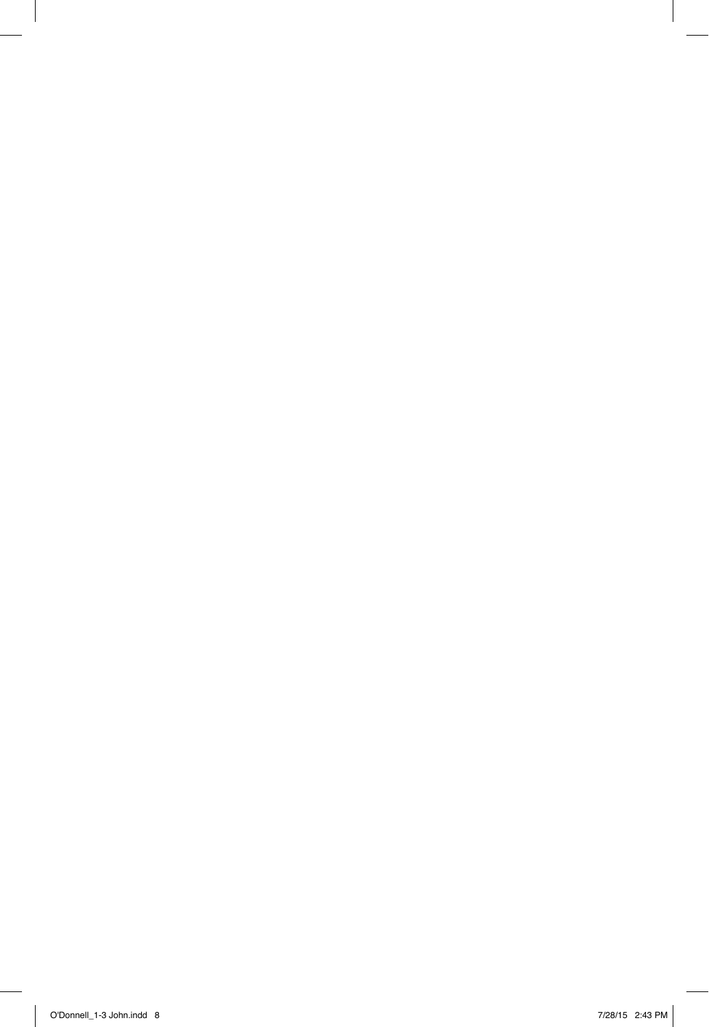$\overline{\phantom{a}}$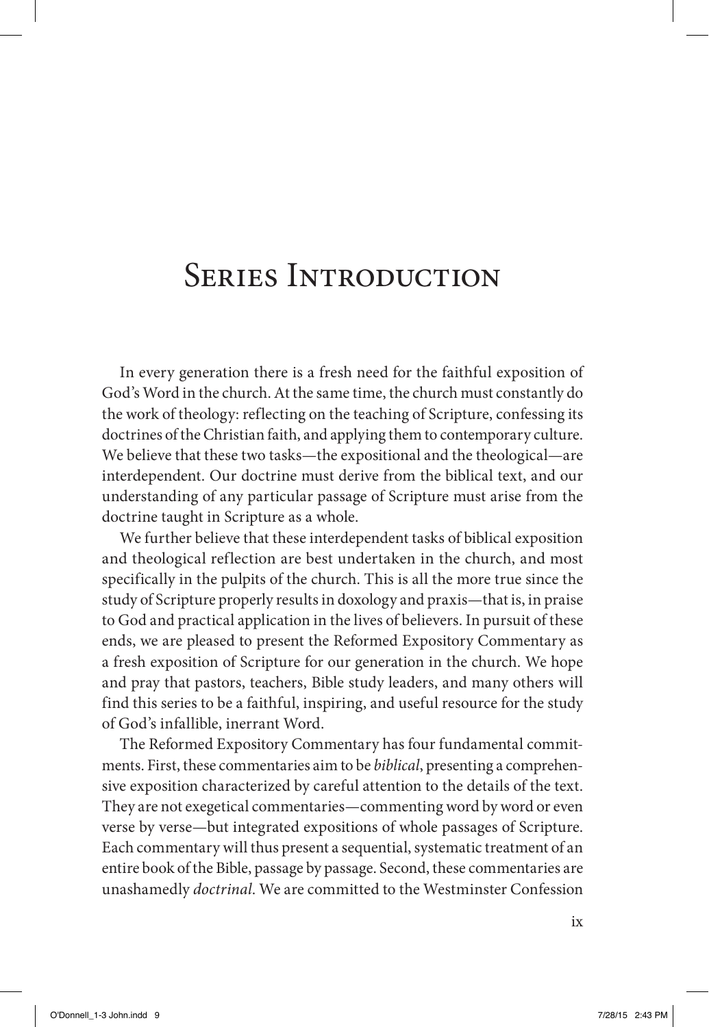## SERIES INTRODUCTION

In every generation there is a fresh need for the faithful exposition of God's Word in the church. At the same time, the church must constantly do the work of theology: reflecting on the teaching of Scripture, confessing its doctrines of the Christian faith, and applying them to contemporary culture. We believe that these two tasks—the expositional and the theological—are interdependent. Our doctrine must derive from the biblical text, and our understanding of any particular passage of Scripture must arise from the doctrine taught in Scripture as a whole.

We further believe that these interdependent tasks of biblical exposition and theological reflection are best undertaken in the church, and most specifically in the pulpits of the church. This is all the more true since the study of Scripture properly results in doxology and praxis—that is, in praise to God and practical application in the lives of believers. In pursuit of these ends, we are pleased to present the Reformed Expository Commentary as a fresh exposition of Scripture for our generation in the church. We hope and pray that pastors, teachers, Bible study leaders, and many others will find this series to be a faithful, inspiring, and useful resource for the study of God's infallible, inerrant Word.

The Reformed Expository Commentary has four fundamental commitments. First, these commentaries aim to be *biblical*, presenting a comprehensive exposition characterized by careful attention to the details of the text. They are not exegetical commentaries—commenting word by word or even verse by verse—but integrated expositions of whole passages of Scripture. Each commentary will thus present a sequential, systematic treatment of an entire book of the Bible, passage by passage. Second, these commentaries are unashamedly *doctrinal*. We are committed to the Westminster Confession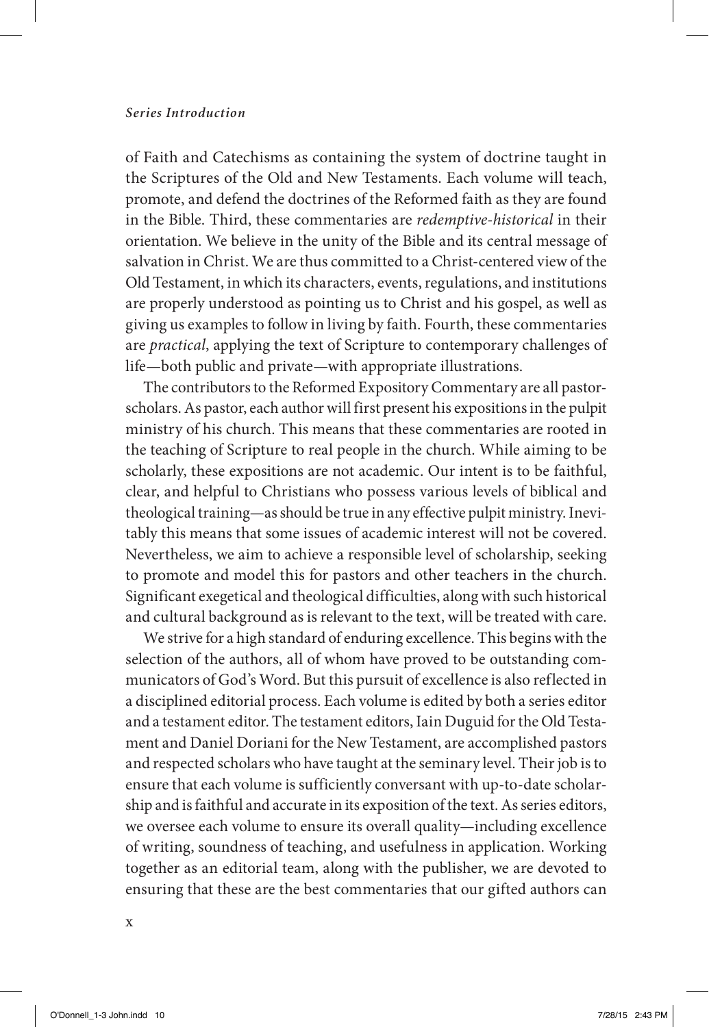### *Series Introduction*

of Faith and Catechisms as containing the system of doctrine taught in the Scriptures of the Old and New Testaments. Each volume will teach, promote, and defend the doctrines of the Reformed faith as they are found in the Bible. Third, these commentaries are *redemptive-historical* in their orientation. We believe in the unity of the Bible and its central message of salvation in Christ. We are thus committed to a Christ-centered view of the Old Testament, in which its characters, events, regulations, and institutions are properly understood as pointing us to Christ and his gospel, as well as giving us examples to follow in living by faith. Fourth, these commentaries are *practical*, applying the text of Scripture to contemporary challenges of life—both public and private—with appropriate illustrations.

The contributors to the Reformed Expository Commentary are all pastorscholars. As pastor, each author will first present his expositions in the pulpit ministry of his church. This means that these commentaries are rooted in the teaching of Scripture to real people in the church. While aiming to be scholarly, these expositions are not academic. Our intent is to be faithful, clear, and helpful to Christians who possess various levels of biblical and theological training—as should be true in any effective pulpit ministry. Inevitably this means that some issues of academic interest will not be covered. Nevertheless, we aim to achieve a responsible level of scholarship, seeking to promote and model this for pastors and other teachers in the church. Significant exegetical and theological difficulties, along with such historical and cultural background as is relevant to the text, will be treated with care.

We strive for a high standard of enduring excellence. This begins with the selection of the authors, all of whom have proved to be outstanding communicators of God's Word. But this pursuit of excellence is also reflected in a disciplined editorial process. Each volume is edited by both a series editor and a testament editor. The testament editors, Iain Duguid for the Old Testament and Daniel Doriani for the New Testament, are accomplished pastors and respected scholars who have taught at the seminary level. Their job is to ensure that each volume is sufficiently conversant with up-to-date scholarship and is faithful and accurate in its exposition of the text. As series editors, we oversee each volume to ensure its overall quality—including excellence of writing, soundness of teaching, and usefulness in application. Working together as an editorial team, along with the publisher, we are devoted to ensuring that these are the best commentaries that our gifted authors can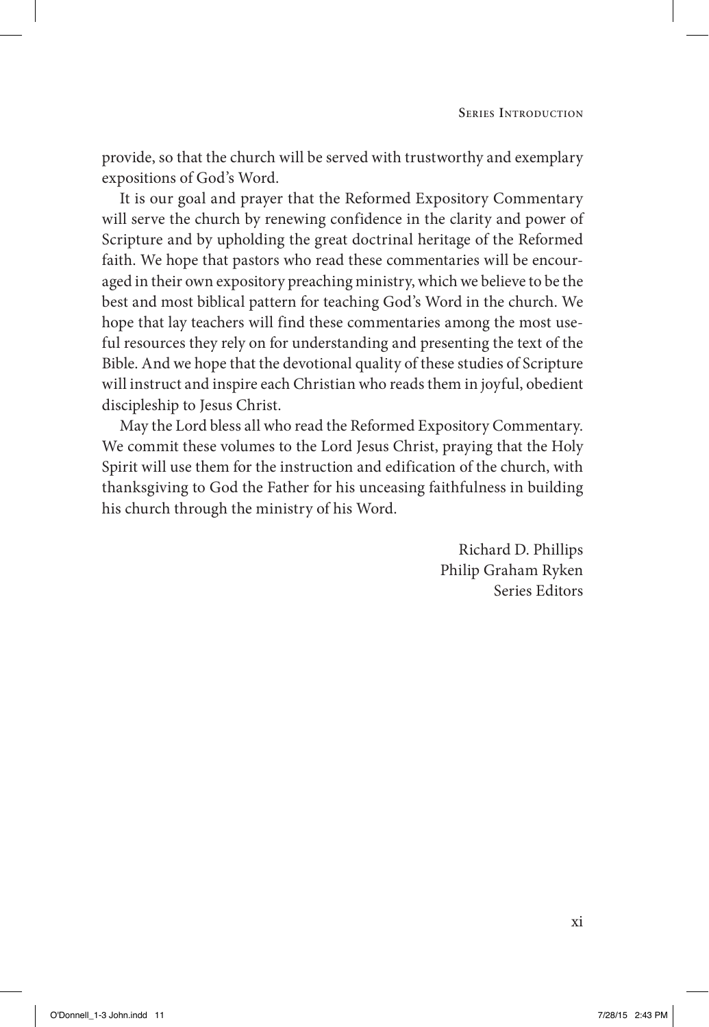provide, so that the church will be served with trustworthy and exemplary expositions of God's Word.

It is our goal and prayer that the Reformed Expository Commentary will serve the church by renewing confidence in the clarity and power of Scripture and by upholding the great doctrinal heritage of the Reformed faith. We hope that pastors who read these commentaries will be encouraged in their own expository preaching ministry, which we believe to be the best and most biblical pattern for teaching God's Word in the church. We hope that lay teachers will find these commentaries among the most useful resources they rely on for understanding and presenting the text of the Bible. And we hope that the devotional quality of these studies of Scripture will instruct and inspire each Christian who reads them in joyful, obedient discipleship to Jesus Christ.

May the Lord bless all who read the Reformed Expository Commentary. We commit these volumes to the Lord Jesus Christ, praying that the Holy Spirit will use them for the instruction and edification of the church, with thanksgiving to God the Father for his unceasing faithfulness in building his church through the ministry of his Word.

> Richard D. Phillips Philip Graham Ryken Series Editors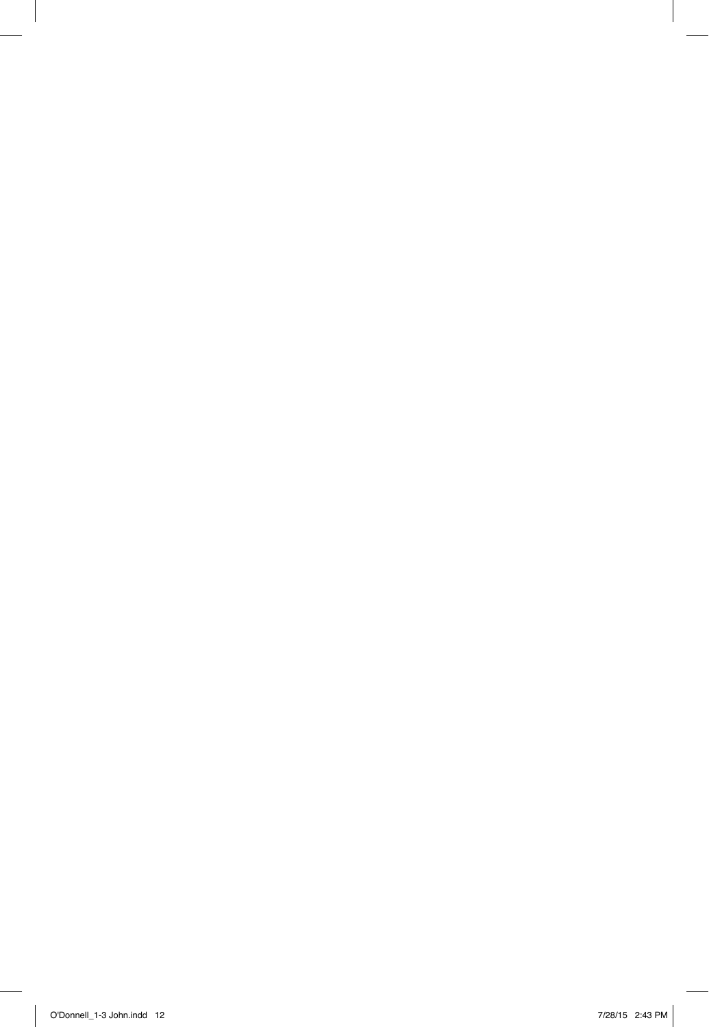$\overline{\phantom{a}}$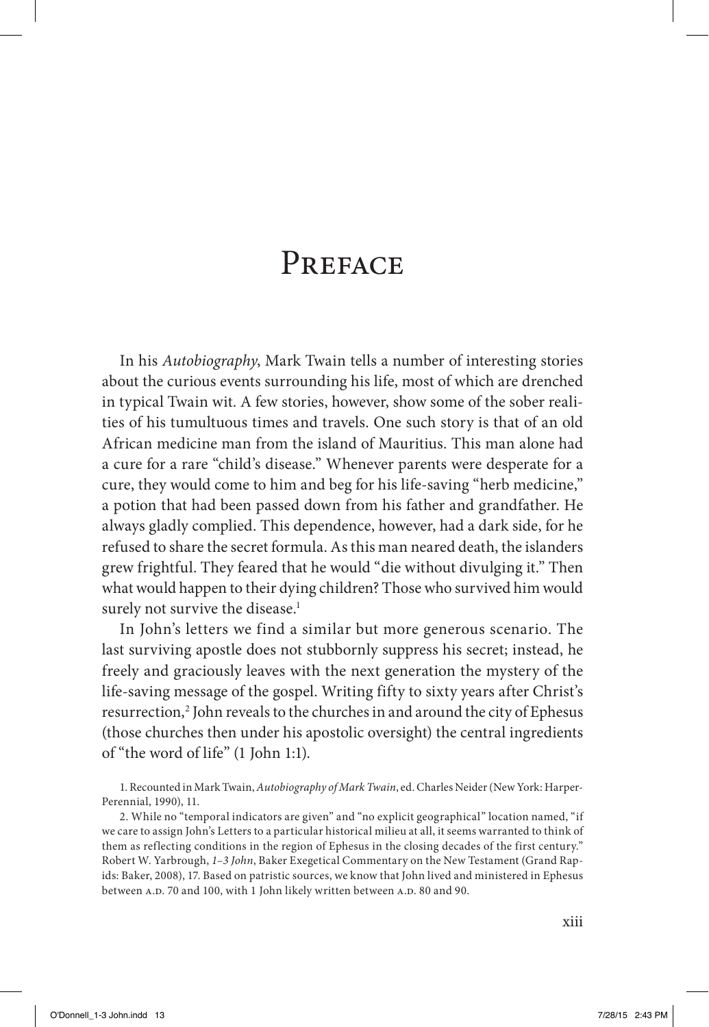## PREFACE

In his *Autobiography*, Mark Twain tells a number of interesting stories about the curious events surrounding his life, most of which are drenched in typical Twain wit. A few stories, however, show some of the sober realities of his tumultuous times and travels. One such story is that of an old African medicine man from the island of Mauritius. This man alone had a cure for a rare "child's disease." Whenever parents were desperate for a cure, they would come to him and beg for his life-saving "herb medicine," a potion that had been passed down from his father and grandfather. He always gladly complied. This dependence, however, had a dark side, for he refused to share the secret formula. As this man neared death, the islanders grew frightful. They feared that he would "die without divulging it." Then what would happen to their dying children? Those who survived him would surely not survive the disease.<sup>1</sup>

In John's letters we find a similar but more generous scenario. The last surviving apostle does not stubbornly suppress his secret; instead, he freely and graciously leaves with the next generation the mystery of the life-saving message of the gospel. Writing fifty to sixty years after Christ's resurrection,<sup>2</sup> John reveals to the churches in and around the city of Ephesus (those churches then under his apostolic oversight) the central ingredients of "the word of life" (1 John 1:1).

1. Recounted in Mark Twain, *Autobiography of Mark Twain*, ed. Charles Neider (New York: Harper-Perennial, 1990), 11.

2. While no "temporal indicators are given" and "no explicit geographical" location named, "if we care to assign John's Letters to a particular historical milieu at all, it seems warranted to think of them as reflecting conditions in the region of Ephesus in the closing decades of the first century." Robert W. Yarbrough, *1–3 John*, Baker Exegetical Commentary on the New Testament (Grand Rapids: Baker, 2008), 17. Based on patristic sources, we know that John lived and ministered in Ephesus between A.D. 70 and 100, with 1 John likely written between A.D. 80 and 90.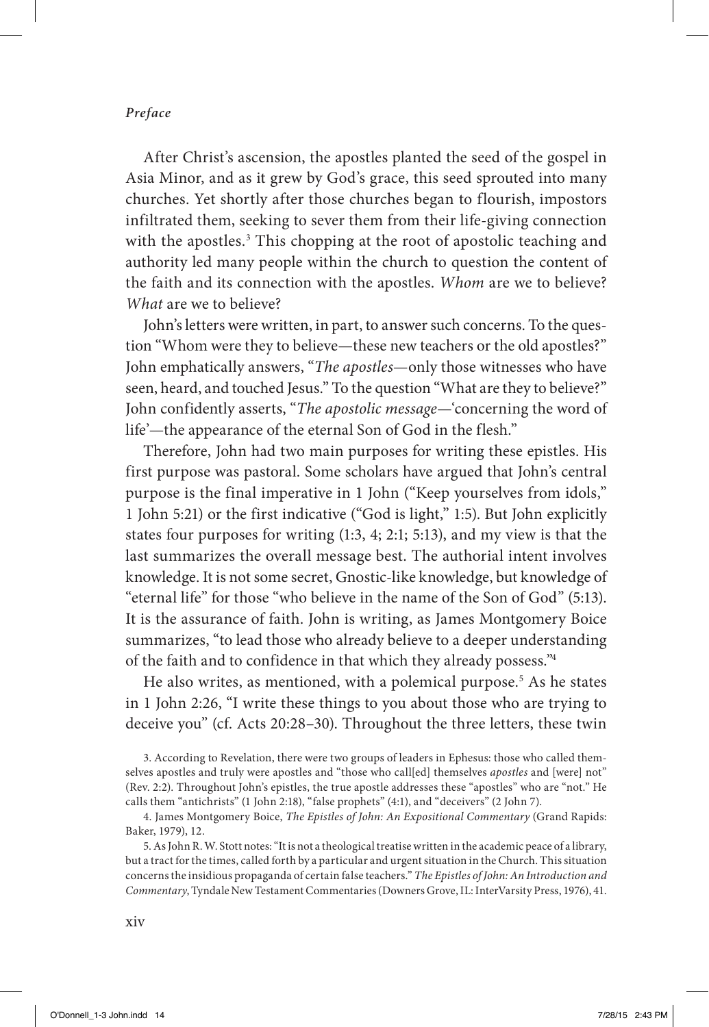#### *Preface*

After Christ's ascension, the apostles planted the seed of the gospel in Asia Minor, and as it grew by God's grace, this seed sprouted into many churches. Yet shortly after those churches began to flourish, impostors infiltrated them, seeking to sever them from their life-giving connection with the apostles.<sup>3</sup> This chopping at the root of apostolic teaching and authority led many people within the church to question the content of the faith and its connection with the apostles. *Whom* are we to believe? *What* are we to believe?

John's letters were written, in part, to answer such concerns. To the question "Whom were they to believe—these new teachers or the old apostles?" John emphatically answers, "*The apostles*—only those witnesses who have seen, heard, and touched Jesus." To the question "What are they to believe?" John confidently asserts, "*The apostolic message*—'concerning the word of life'—the appearance of the eternal Son of God in the flesh."

Therefore, John had two main purposes for writing these epistles. His first purpose was pastoral. Some scholars have argued that John's central purpose is the final imperative in 1 John ("Keep yourselves from idols," 1 John 5:21) or the first indicative ("God is light," 1:5). But John explicitly states four purposes for writing (1:3, 4; 2:1; 5:13), and my view is that the last summarizes the overall message best. The authorial intent involves knowledge. It is not some secret, Gnostic-like knowledge, but knowledge of "eternal life" for those "who believe in the name of the Son of God" (5:13). It is the assurance of faith. John is writing, as James Montgomery Boice summarizes, "to lead those who already believe to a deeper understanding of the faith and to confidence in that which they already possess."4

He also writes, as mentioned, with a polemical purpose.<sup>5</sup> As he states in 1 John 2:26, "I write these things to you about those who are trying to deceive you" (cf. Acts 20:28–30). Throughout the three letters, these twin

<sup>3.</sup> According to Revelation, there were two groups of leaders in Ephesus: those who called themselves apostles and truly were apostles and "those who call[ed] themselves *apostles* and [were] not" (Rev. 2:2). Throughout John's epistles, the true apostle addresses these "apostles" who are "not." He calls them "antichrists" (1 John 2:18), "false prophets" (4:1), and "deceivers" (2 John 7).

<sup>4.</sup> James Montgomery Boice, *The Epistles of John: An Expositional Commentary* (Grand Rapids: Baker, 1979), 12.

<sup>5.</sup> As John R. W. Stott notes: "It is not a theological treatise written in the academic peace of a library, but a tract for the times, called forth by a particular and urgent situation in the Church. This situation concerns the insidious propaganda of certain false teachers." *The Epistles of John: An Introduction and Commentary*, Tyndale New Testament Commentaries (Downers Grove, IL: InterVarsity Press, 1976), 41.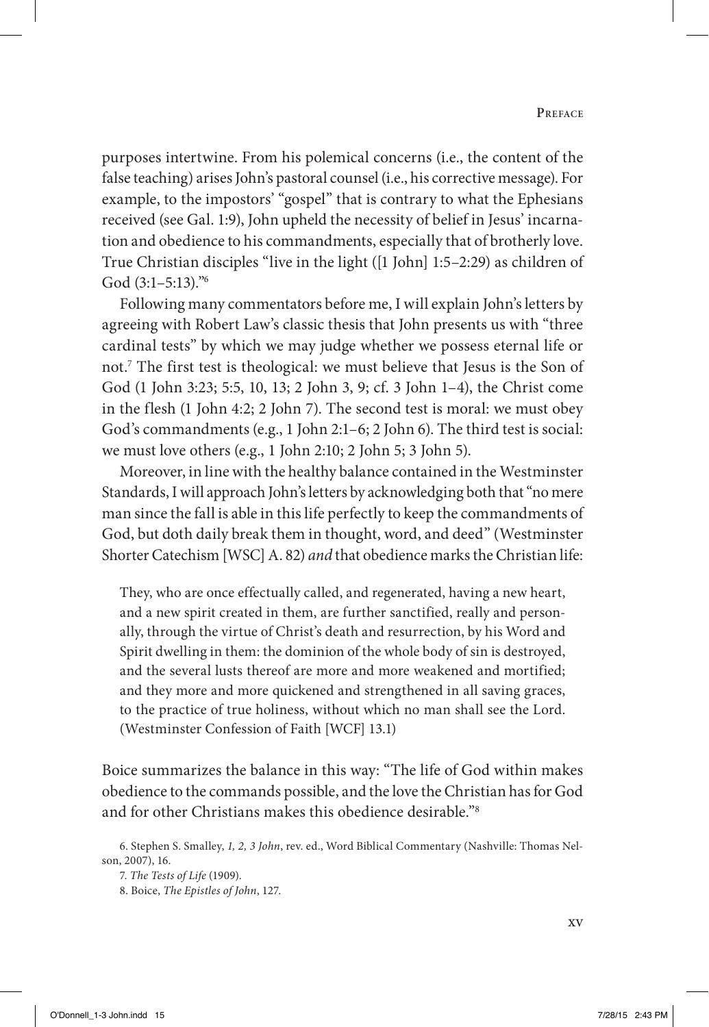purposes intertwine. From his polemical concerns (i.e., the content of the false teaching) arises John's pastoral counsel (i.e., his corrective message). For example, to the impostors' "gospel" that is contrary to what the Ephesians received (see Gal. 1:9), John upheld the necessity of belief in Jesus' incarnation and obedience to his commandments, especially that of brotherly love. True Christian disciples "live in the light ([1 John] 1:5–2:29) as children of God (3:1–5:13)."6

Following many commentators before me, I will explain John's letters by agreeing with Robert Law's classic thesis that John presents us with "three cardinal tests" by which we may judge whether we possess eternal life or not.7 The first test is theological: we must believe that Jesus is the Son of God (1 John 3:23; 5:5, 10, 13; 2 John 3, 9; cf. 3 John 1–4), the Christ come in the flesh (1 John 4:2; 2 John 7). The second test is moral: we must obey God's commandments (e.g., 1 John 2:1–6; 2 John 6). The third test is social: we must love others (e.g., 1 John 2:10; 2 John 5; 3 John 5).

Moreover, in line with the healthy balance contained in the Westminster Standards, I will approach John's letters by acknowledging both that "no mere man since the fall is able in this life perfectly to keep the commandments of God, but doth daily break them in thought, word, and deed" (Westminster Shorter Catechism [WSC] A. 82) *and* that obedience marks the Christian life:

They, who are once effectually called, and regenerated, having a new heart, and a new spirit created in them, are further sanctified, really and personally, through the virtue of Christ's death and resurrection, by his Word and Spirit dwelling in them: the dominion of the whole body of sin is destroyed, and the several lusts thereof are more and more weakened and mortified; and they more and more quickened and strengthened in all saving graces, to the practice of true holiness, without which no man shall see the Lord. (Westminster Confession of Faith [WCF] 13.1)

Boice summarizes the balance in this way: "The life of God within makes obedience to the commands possible, and the love the Christian has for God and for other Christians makes this obedience desirable."8

<sup>6.</sup> Stephen S. Smalley, *1, 2, 3 John*, rev. ed., Word Biblical Commentary (Nashville: Thomas Nelson, 2007), 16.

<sup>7.</sup> *The Tests of Life* (1909).

<sup>8.</sup> Boice, *The Epistles of John*, 127.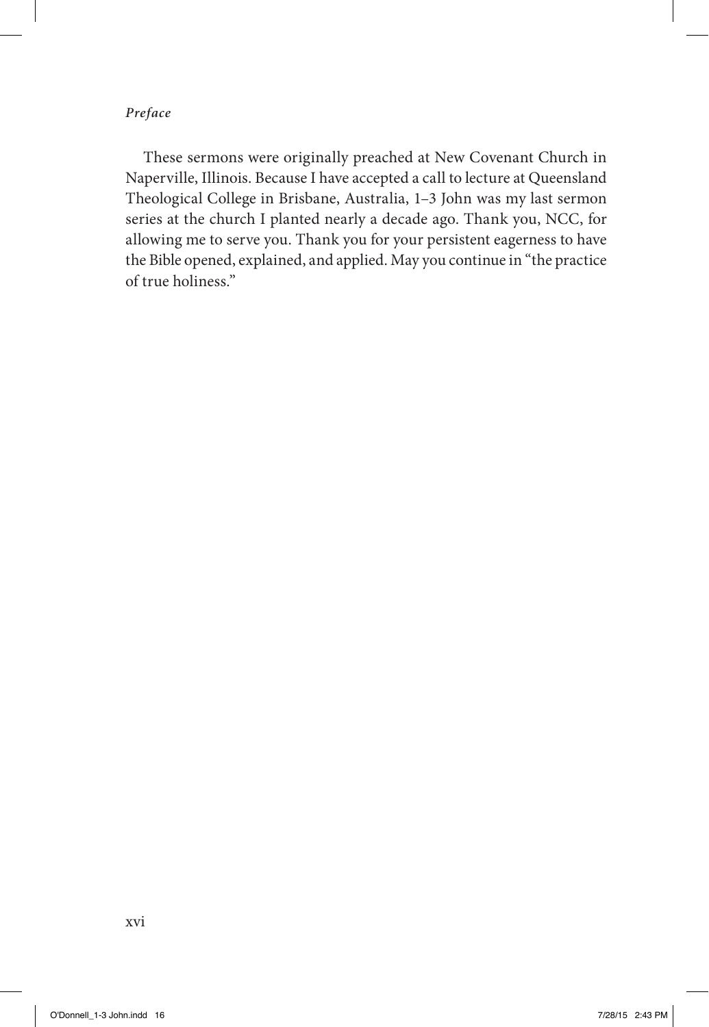## *Preface*

These sermons were originally preached at New Covenant Church in Naperville, Illinois. Because I have accepted a call to lecture at Queensland Theological College in Brisbane, Australia, 1–3 John was my last sermon series at the church I planted nearly a decade ago. Thank you, NCC, for allowing me to serve you. Thank you for your persistent eagerness to have the Bible opened, explained, and applied. May you continue in "the practice of true holiness."

xvi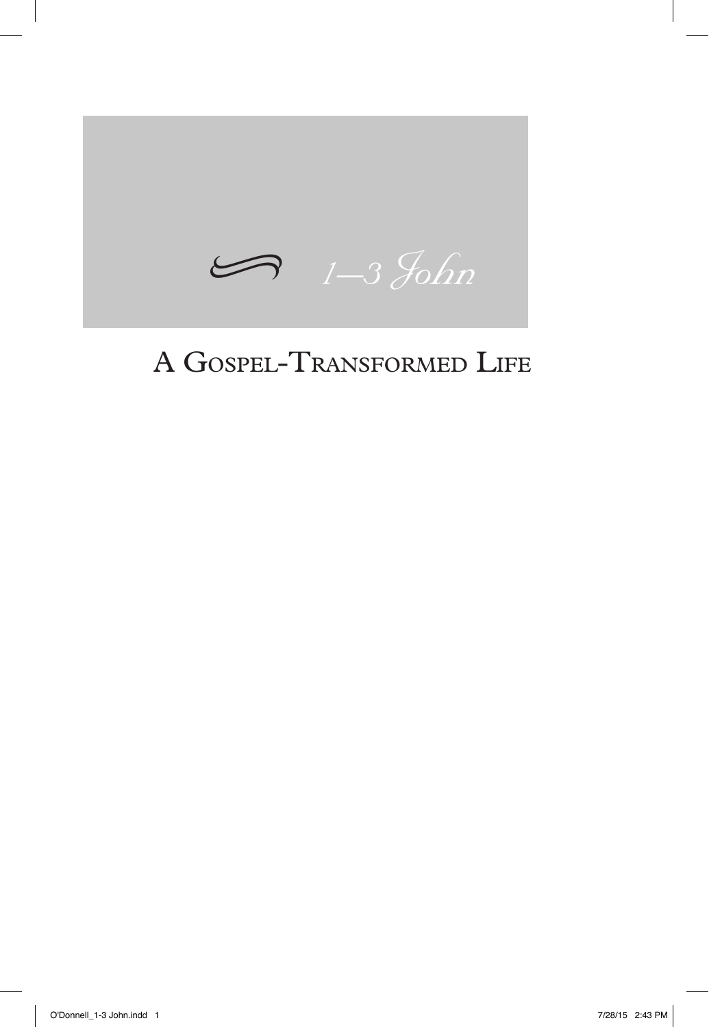

# A Gospel-Transformed Life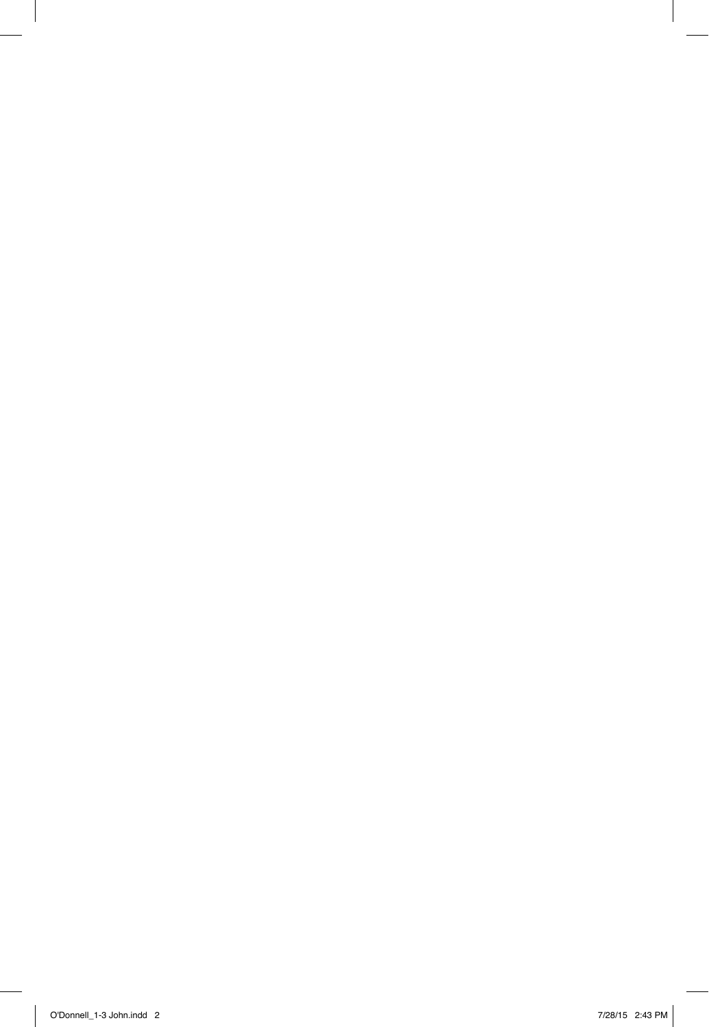$\overline{\phantom{a}}$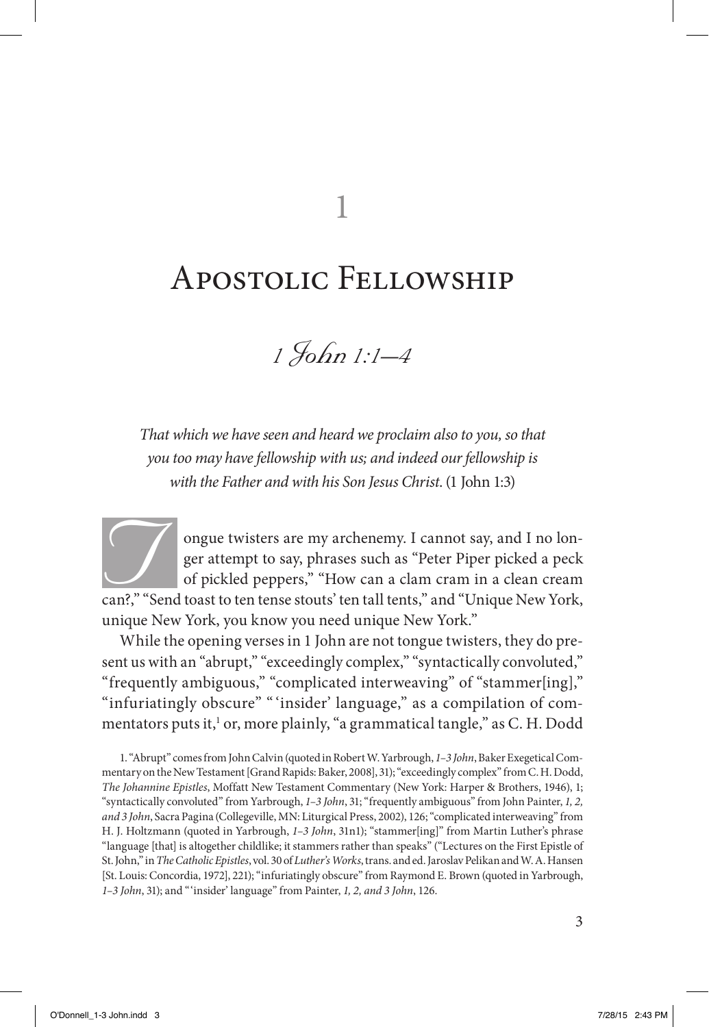1

## Apostolic Fellowship

*1 John1:1–4*

*That which we have seen and heard we proclaim also to you, so that you too may have fellowship with us; and indeed our fellowship is with the Father and with his Son Jesus Christ*. (1 John 1:3)

ongue twisters are my archenemy. I cannot say, and I no longer attempt to say, phrases such as "Peter Piper picked a peck of pickled peppers," "How can a clam cram in a clean cream can?," "Send toast to ten tense stouts' t ger attempt to say, phrases such as "Peter Piper picked a peck of pickled peppers," "How can a clam cram in a clean cream unique New York, you know you need unique New York."

While the opening verses in 1 John are not tongue twisters, they do present us with an "abrupt," "exceedingly complex," "syntactically convoluted," "frequently ambiguous," "complicated interweaving" of "stammer[ing]," "infuriatingly obscure" "'insider' language," as a compilation of commentators puts it,1 or, more plainly, "a grammatical tangle," as C. H. Dodd

1. "Abrupt" comes from John Calvin (quoted in Robert W. Yarbrough, *1–3 John*, Baker Exegetical Commentary on the New Testament [Grand Rapids: Baker, 2008], 31); "exceedingly complex" from C. H. Dodd, *The Johannine Epistles*, Moffatt New Testament Commentary (New York: Harper & Brothers, 1946), 1; "syntactically convoluted" from Yarbrough, *1–3 John*, 31; "frequently ambiguous" from John Painter, *1, 2, and 3 John*, Sacra Pagina (Collegeville, MN: Liturgical Press, 2002), 126; "complicated interweaving" from H. J. Holtzmann (quoted in Yarbrough, *1–3 John*, 31n1); "stammer[ing]" from Martin Luther's phrase "language [that] is altogether childlike; it stammers rather than speaks" ("Lectures on the First Epistle of St. John," in *The Catholic Epistles*, vol. 30 of *Luther's Works*, trans. and ed. Jaroslav Pelikan and W. A. Hansen [St. Louis: Concordia, 1972], 221); "infuriatingly obscure" from Raymond E. Brown (quoted in Yarbrough, *1–3 John*, 31); and "'insider' language" from Painter, *1, 2, and 3 John*, 126.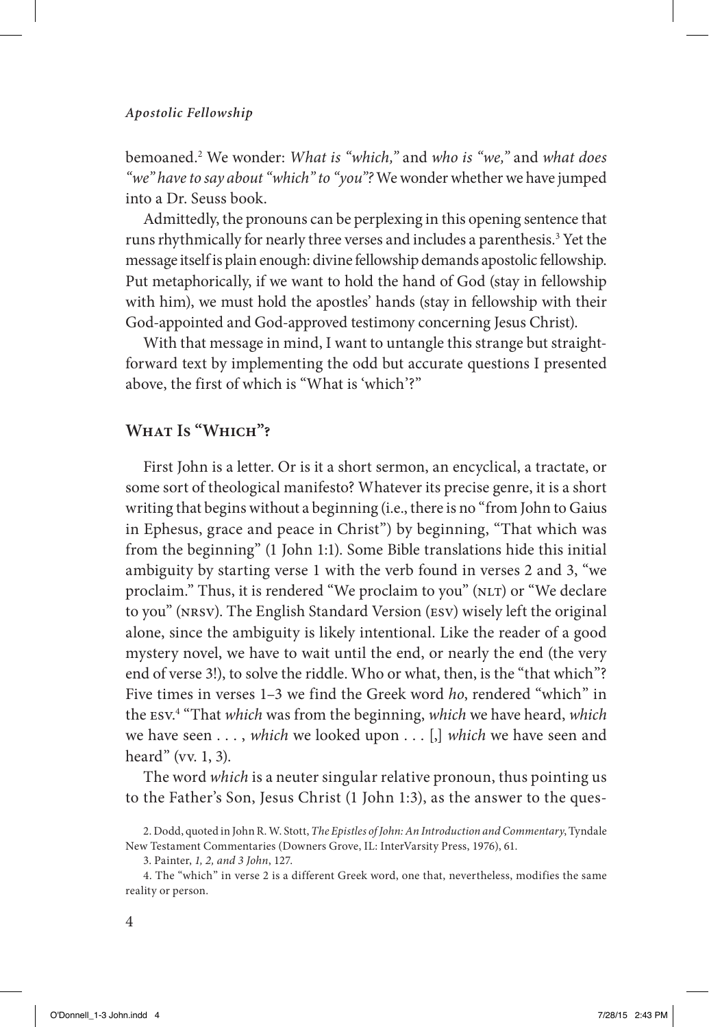### *Apostolic Fellowship*

bemoaned.2 We wonder: *What is "which,"* and *who is "we,"* and *what does "we" have to say about "which" to "you"?* We wonder whether we have jumped into a Dr. Seuss book.

Admittedly, the pronouns can be perplexing in this opening sentence that runs rhythmically for nearly three verses and includes a parenthesis.<sup>3</sup> Yet the message itself is plain enough: divine fellowship demands apostolic fellowship. Put metaphorically, if we want to hold the hand of God (stay in fellowship with him), we must hold the apostles' hands (stay in fellowship with their God-appointed and God-approved testimony concerning Jesus Christ).

With that message in mind, I want to untangle this strange but straightforward text by implementing the odd but accurate questions I presented above, the first of which is "What is 'which'?"

## **What Is "Which"?**

First John is a letter. Or is it a short sermon, an encyclical, a tractate, or some sort of theological manifesto? Whatever its precise genre, it is a short writing that begins without a beginning (i.e., there is no "from John to Gaius in Ephesus, grace and peace in Christ") by beginning, "That which was from the beginning" (1 John 1:1). Some Bible translations hide this initial ambiguity by starting verse 1 with the verb found in verses 2 and 3, "we proclaim." Thus, it is rendered "We proclaim to you" (NLT) or "We declare to you" (nrsv). The English Standard Version (esv) wisely left the original alone, since the ambiguity is likely intentional. Like the reader of a good mystery novel, we have to wait until the end, or nearly the end (the very end of verse 3!), to solve the riddle. Who or what, then, is the "that which"? Five times in verses 1–3 we find the Greek word *ho*, rendered "which" in the esv. 4 "That *which* was from the beginning, *which* we have heard, *which* we have seen . . . , *which* we looked upon . . . [,] *which* we have seen and heard" (vv. 1, 3).

The word *which* is a neuter singular relative pronoun, thus pointing us to the Father's Son, Jesus Christ (1 John 1:3), as the answer to the ques-

<sup>2.</sup> Dodd, quoted in John R. W. Stott, *The Epistles of John: An Introduction and Commentary*, Tyndale New Testament Commentaries (Downers Grove, IL: InterVarsity Press, 1976), 61.

<sup>3.</sup> Painter, *1, 2, and 3 John*, 127.

<sup>4.</sup> The "which" in verse 2 is a different Greek word, one that, nevertheless, modifies the same reality or person.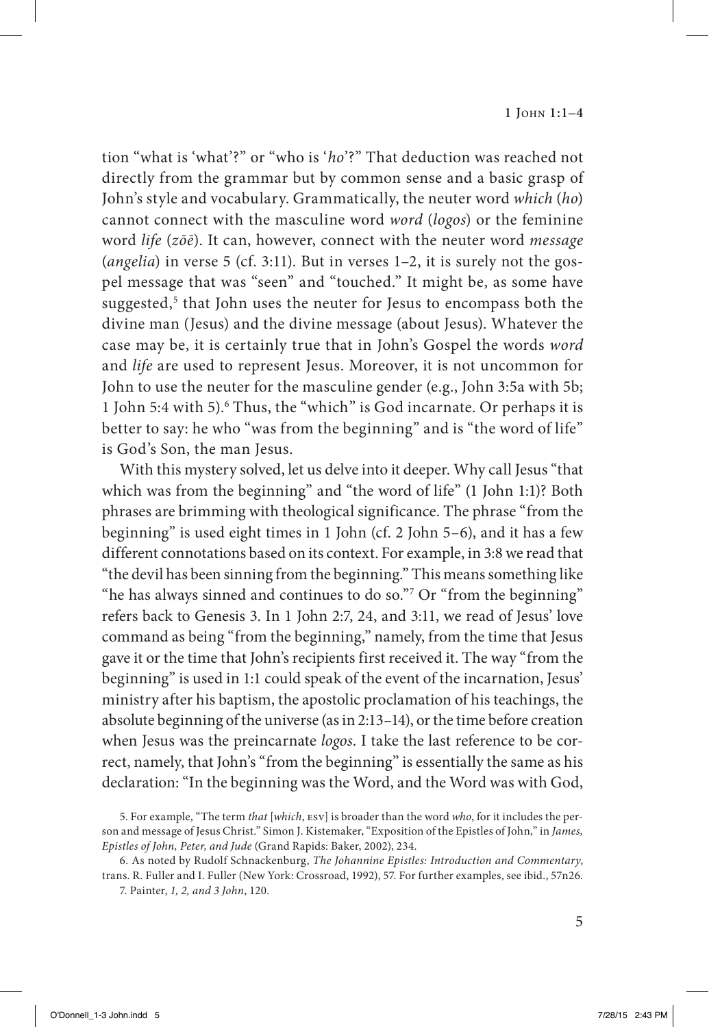tion "what is 'what'?" or "who is '*ho*'?" That deduction was reached not directly from the grammar but by common sense and a basic grasp of John's style and vocabulary. Grammatically, the neuter word *which* (*ho*) cannot connect with the masculine word *word* (*logos*) or the feminine word *life* (*zōē*). It can, however, connect with the neuter word *message* (*angelia*) in verse 5 (cf. 3:11). But in verses 1–2, it is surely not the gospel message that was "seen" and "touched." It might be, as some have suggested,<sup>5</sup> that John uses the neuter for Jesus to encompass both the divine man (Jesus) and the divine message (about Jesus). Whatever the case may be, it is certainly true that in John's Gospel the words *word* and *life* are used to represent Jesus. Moreover, it is not uncommon for John to use the neuter for the masculine gender (e.g., John 3:5a with 5b; 1 John 5:4 with 5).<sup>6</sup> Thus, the "which" is God incarnate. Or perhaps it is better to say: he who "was from the beginning" and is "the word of life" is God's Son, the man Jesus.

With this mystery solved, let us delve into it deeper. Why call Jesus "that which was from the beginning" and "the word of life" (1 John 1:1)? Both phrases are brimming with theological significance. The phrase "from the beginning" is used eight times in 1 John (cf. 2 John 5–6), and it has a few different connotations based on its context. For example, in 3:8 we read that "the devil has been sinning from the beginning." This means something like "he has always sinned and continues to do so."7 Or "from the beginning" refers back to Genesis 3. In 1 John 2:7, 24, and 3:11, we read of Jesus' love command as being "from the beginning," namely, from the time that Jesus gave it or the time that John's recipients first received it. The way "from the beginning" is used in 1:1 could speak of the event of the incarnation, Jesus' ministry after his baptism, the apostolic proclamation of his teachings, the absolute beginning of the universe (as in 2:13–14), or the time before creation when Jesus was the preincarnate *logos*. I take the last reference to be correct, namely, that John's "from the beginning" is essentially the same as his declaration: "In the beginning was the Word, and the Word was with God,

<sup>5.</sup> For example, "The term *that* [*which*, esv] is broader than the word *who*, for it includes the person and message of Jesus Christ." Simon J. Kistemaker, "Exposition of the Epistles of John," in *James, Epistles of John, Peter, and Jude* (Grand Rapids: Baker, 2002), 234.

<sup>6.</sup> As noted by Rudolf Schnackenburg, *The Johannine Epistles: Introduction and Commentary*, trans. R. Fuller and I. Fuller (New York: Crossroad, 1992), 57. For further examples, see ibid., 57n26. 7. Painter, *1, 2, and 3 John*, 120.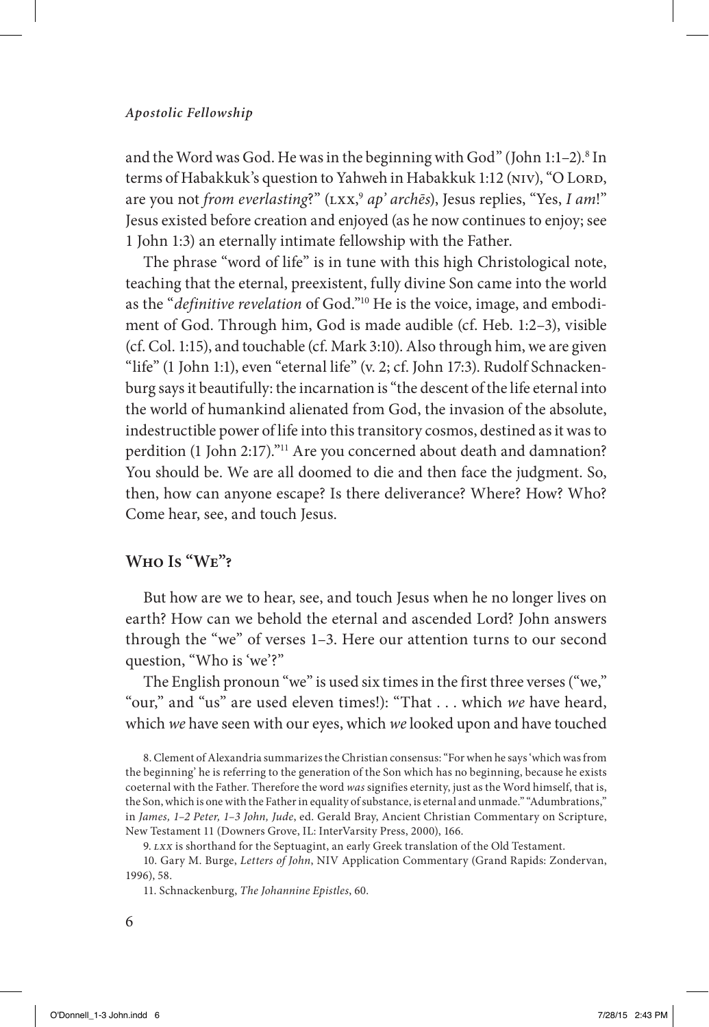#### *Apostolic Fellowship*

and the Word was God. He was in the beginning with God" (John 1:1–2).<sup>8</sup> In terms of Habakkuk's question to Yahweh in Habakkuk 1:12 (NIV), "O LORD, are you not *from everlasting*?" (lxx, <sup>9</sup> *ap' archēs*), Jesus replies, "Yes, *I am*!" Jesus existed before creation and enjoyed (as he now continues to enjoy; see 1 John 1:3) an eternally intimate fellowship with the Father.

The phrase "word of life" is in tune with this high Christological note, teaching that the eternal, preexistent, fully divine Son came into the world as the "*definitive revelation* of God."10 He is the voice, image, and embodiment of God. Through him, God is made audible (cf. Heb. 1:2–3), visible (cf. Col. 1:15), and touchable (cf. Mark 3:10). Also through him, we are given "life" (1 John 1:1), even "eternal life" (v. 2; cf. John 17:3). Rudolf Schnackenburg says it beautifully: the incarnation is "the descent of the life eternal into the world of humankind alienated from God, the invasion of the absolute, indestructible power of life into this transitory cosmos, destined as it was to perdition (1 John 2:17)."11 Are you concerned about death and damnation? You should be. We are all doomed to die and then face the judgment. So, then, how can anyone escape? Is there deliverance? Where? How? Who? Come hear, see, and touch Jesus.

## **Who Is "We"?**

But how are we to hear, see, and touch Jesus when he no longer lives on earth? How can we behold the eternal and ascended Lord? John answers through the "we" of verses 1–3. Here our attention turns to our second question, "Who is 'we'?"

The English pronoun "we" is used six times in the first three verses ("we," "our," and "us" are used eleven times!): "That . . . which *we* have heard, which *we* have seen with our eyes, which *we* looked upon and have touched

<sup>8.</sup> Clement of Alexandria summarizes the Christian consensus: "For when he says 'which was from the beginning' he is referring to the generation of the Son which has no beginning, because he exists coeternal with the Father. Therefore the word *was* signifies eternity, just as the Word himself, that is, the Son, which is one with the Father in equality of substance, is eternal and unmade." "Adumbrations," in *James, 1–2 Peter, 1–3 John, Jude*, ed. Gerald Bray, Ancient Christian Commentary on Scripture, New Testament 11 (Downers Grove, IL: InterVarsity Press, 2000), 166.

<sup>9.</sup> *lxx* is shorthand for the Septuagint, an early Greek translation of the Old Testament.

<sup>10.</sup> Gary M. Burge, *Letters of John*, NIV Application Commentary (Grand Rapids: Zondervan, 1996), 58.

<sup>11.</sup> Schnackenburg, *The Johannine Epistles*, 60.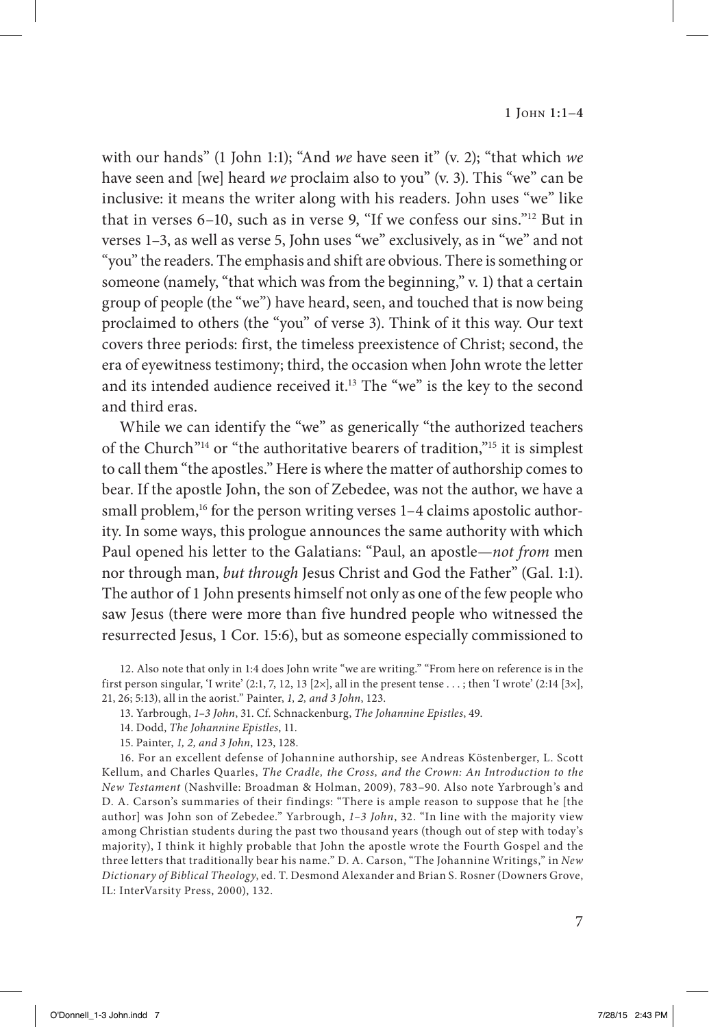with our hands" (1 John 1:1); "And *we* have seen it" (v. 2); "that which *we* have seen and [we] heard *we* proclaim also to you" (v. 3). This "we" can be inclusive: it means the writer along with his readers. John uses "we" like that in verses 6–10, such as in verse 9, "If we confess our sins."12 But in verses 1–3, as well as verse 5, John uses "we" exclusively, as in "we" and not "you" the readers. The emphasis and shift are obvious. There is something or someone (namely, "that which was from the beginning," v. 1) that a certain group of people (the "we") have heard, seen, and touched that is now being proclaimed to others (the "you" of verse 3). Think of it this way. Our text covers three periods: first, the timeless preexistence of Christ; second, the era of eyewitness testimony; third, the occasion when John wrote the letter and its intended audience received it.<sup>13</sup> The "we" is the key to the second and third eras.

While we can identify the "we" as generically "the authorized teachers of the Church"14 or "the authoritative bearers of tradition,"15 it is simplest to call them "the apostles." Here is where the matter of authorship comes to bear. If the apostle John, the son of Zebedee, was not the author, we have a small problem,<sup>16</sup> for the person writing verses 1-4 claims apostolic authority. In some ways, this prologue announces the same authority with which Paul opened his letter to the Galatians: "Paul, an apostle—*not from* men nor through man, *but through* Jesus Christ and God the Father" (Gal. 1:1). The author of 1 John presents himself not only as one of the few people who saw Jesus (there were more than five hundred people who witnessed the resurrected Jesus, 1 Cor. 15:6), but as someone especially commissioned to

<sup>12.</sup> Also note that only in 1:4 does John write "we are writing." "From here on reference is in the first person singular, 'I write' (2:1, 7, 12, 13 [2 $\times$ ], all in the present tense . . . ; then 'I wrote' (2:14 [3 $\times$ ], 21, 26; 5:13), all in the aorist." Painter, *1, 2, and 3 John*, 123.

<sup>13.</sup> Yarbrough, *1–3 John*, 31. Cf. Schnackenburg, *The Johannine Epistles*, 49.

<sup>14.</sup> Dodd, *The Johannine Epistles*, 11.

<sup>15.</sup> Painter, *1, 2, and 3 John*, 123, 128.

<sup>16.</sup> For an excellent defense of Johannine authorship, see Andreas Köstenberger, L. Scott Kellum, and Charles Quarles, *The Cradle, the Cross, and the Crown: An Introduction to the New Testament* (Nashville: Broadman & Holman, 2009), 783–90. Also note Yarbrough's and D. A. Carson's summaries of their findings: "There is ample reason to suppose that he [the author] was John son of Zebedee." Yarbrough, *1–3 John*, 32. "In line with the majority view among Christian students during the past two thousand years (though out of step with today's majority), I think it highly probable that John the apostle wrote the Fourth Gospel and the three letters that traditionally bear his name." D. A. Carson, "The Johannine Writings," in *New Dictionary of Biblical Theology*, ed. T. Desmond Alexander and Brian S. Rosner (Downers Grove, IL: InterVarsity Press, 2000), 132.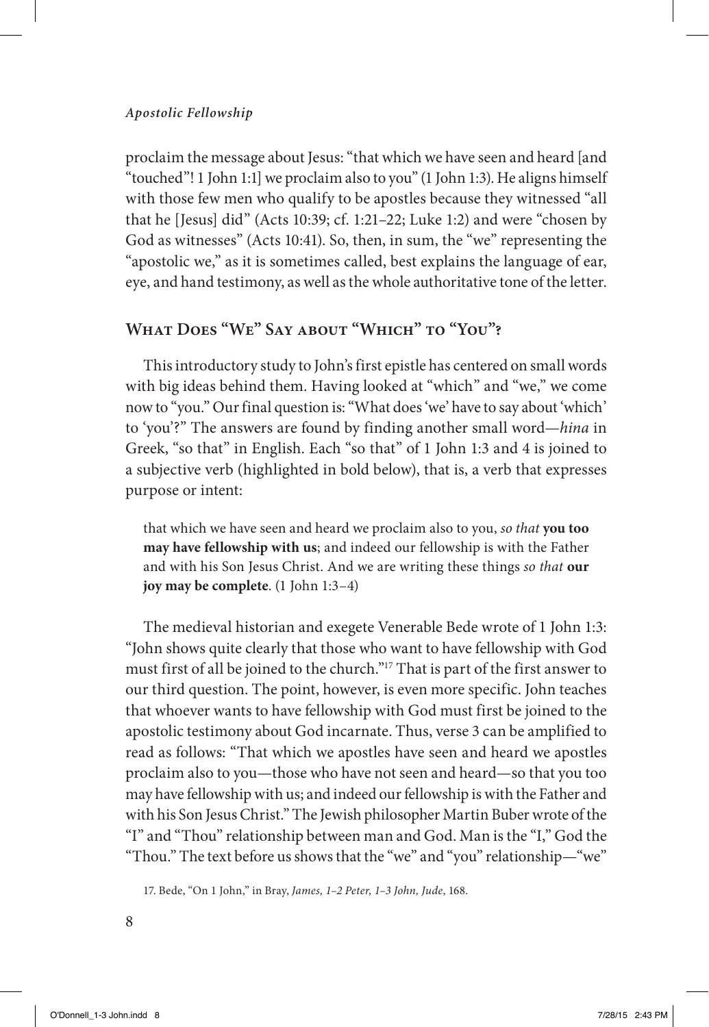### *Apostolic Fellowship*

proclaim the message about Jesus: "that which we have seen and heard [and "touched"! 1 John 1:1] we proclaim also to you" (1 John 1:3). He aligns himself with those few men who qualify to be apostles because they witnessed "all that he [Jesus] did" (Acts 10:39; cf. 1:21–22; Luke 1:2) and were "chosen by God as witnesses" (Acts 10:41). So, then, in sum, the "we" representing the "apostolic we," as it is sometimes called, best explains the language of ear, eye, and hand testimony, as well as the whole authoritative tone of the letter.

## **What Does "We" Say about "Which" to "You"?**

This introductory study to John's first epistle has centered on small words with big ideas behind them. Having looked at "which" and "we," we come now to "you." Our final question is: "What does 'we' have to say about 'which' to 'you'?" The answers are found by finding another small word—*hina* in Greek, "so that" in English. Each "so that" of 1 John 1:3 and 4 is joined to a subjective verb (highlighted in bold below), that is, a verb that expresses purpose or intent:

that which we have seen and heard we proclaim also to you, *so that* **you too may have fellowship with us**; and indeed our fellowship is with the Father and with his Son Jesus Christ. And we are writing these things *so that* **our joy may be complete**. (1 John 1:3–4)

The medieval historian and exegete Venerable Bede wrote of 1 John 1:3: "John shows quite clearly that those who want to have fellowship with God must first of all be joined to the church."17 That is part of the first answer to our third question. The point, however, is even more specific. John teaches that whoever wants to have fellowship with God must first be joined to the apostolic testimony about God incarnate. Thus, verse 3 can be amplified to read as follows: "That which we apostles have seen and heard we apostles proclaim also to you—those who have not seen and heard—so that you too may have fellowship with us; and indeed our fellowship is with the Father and with his Son Jesus Christ." The Jewish philosopher Martin Buber wrote of the "I" and "Thou" relationship between man and God. Man is the "I," God the "Thou." The text before us shows that the "we" and "you" relationship—"we"

17. Bede, "On 1 John," in Bray, *James, 1–2 Peter, 1–3 John, Jude*, 168.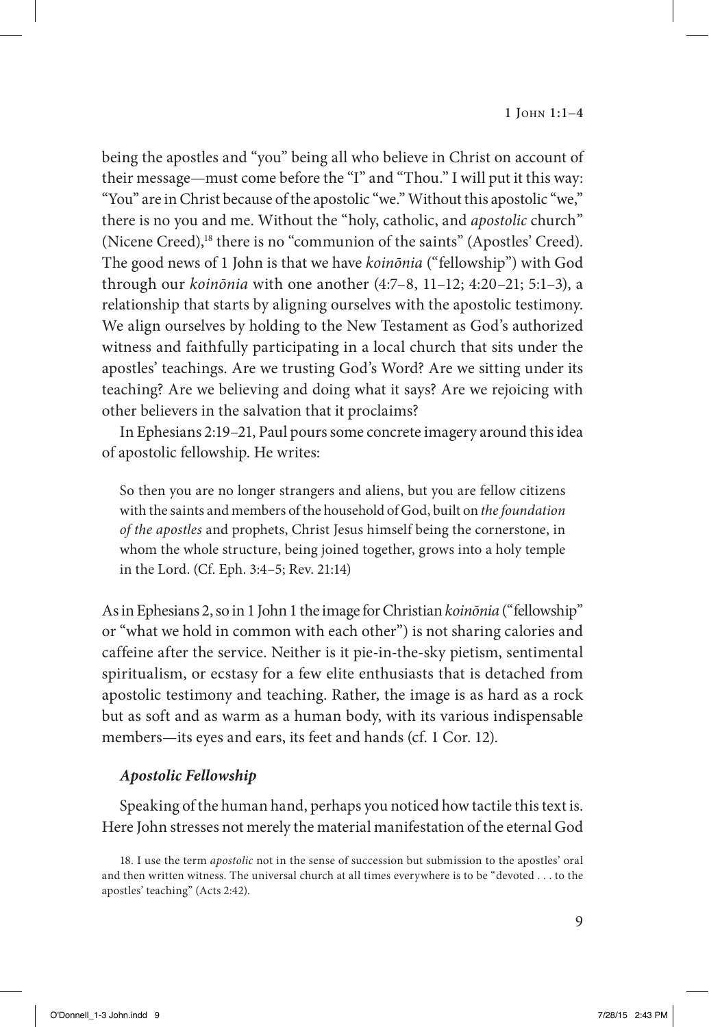being the apostles and "you" being all who believe in Christ on account of their message—must come before the "I" and "Thou." I will put it this way: "You" are in Christ because of the apostolic "we." Without this apostolic "we," there is no you and me. Without the "holy, catholic, and *apostolic* church" (Nicene Creed),<sup>18</sup> there is no "communion of the saints" (Apostles' Creed). The good news of 1 John is that we have *koinōnia* ("fellowship") with God through our *koinōnia* with one another (4:7–8, 11–12; 4:20–21; 5:1–3), a relationship that starts by aligning ourselves with the apostolic testimony. We align ourselves by holding to the New Testament as God's authorized witness and faithfully participating in a local church that sits under the apostles' teachings. Are we trusting God's Word? Are we sitting under its teaching? Are we believing and doing what it says? Are we rejoicing with other believers in the salvation that it proclaims?

In Ephesians 2:19–21, Paul pours some concrete imagery around this idea of apostolic fellowship. He writes:

So then you are no longer strangers and aliens, but you are fellow citizens with the saints and members of the household of God, built on *the foundation of the apostles* and prophets, Christ Jesus himself being the cornerstone, in whom the whole structure, being joined together, grows into a holy temple in the Lord. (Cf. Eph. 3:4–5; Rev. 21:14)

As in Ephesians 2, so in 1 John 1 the image for Christian *koinōnia* ("fellowship" or "what we hold in common with each other") is not sharing calories and caffeine after the service. Neither is it pie-in-the-sky pietism, sentimental spiritualism, or ecstasy for a few elite enthusiasts that is detached from apostolic testimony and teaching. Rather, the image is as hard as a rock but as soft and as warm as a human body, with its various indispensable members—its eyes and ears, its feet and hands (cf. 1 Cor. 12).

## *Apostolic Fellowship*

Speaking of the human hand, perhaps you noticed how tactile this text is. Here John stresses not merely the material manifestation of the eternal God

<sup>18.</sup> I use the term *apostolic* not in the sense of succession but submission to the apostles' oral and then written witness. The universal church at all times everywhere is to be "devoted . . . to the apostles' teaching" (Acts 2:42).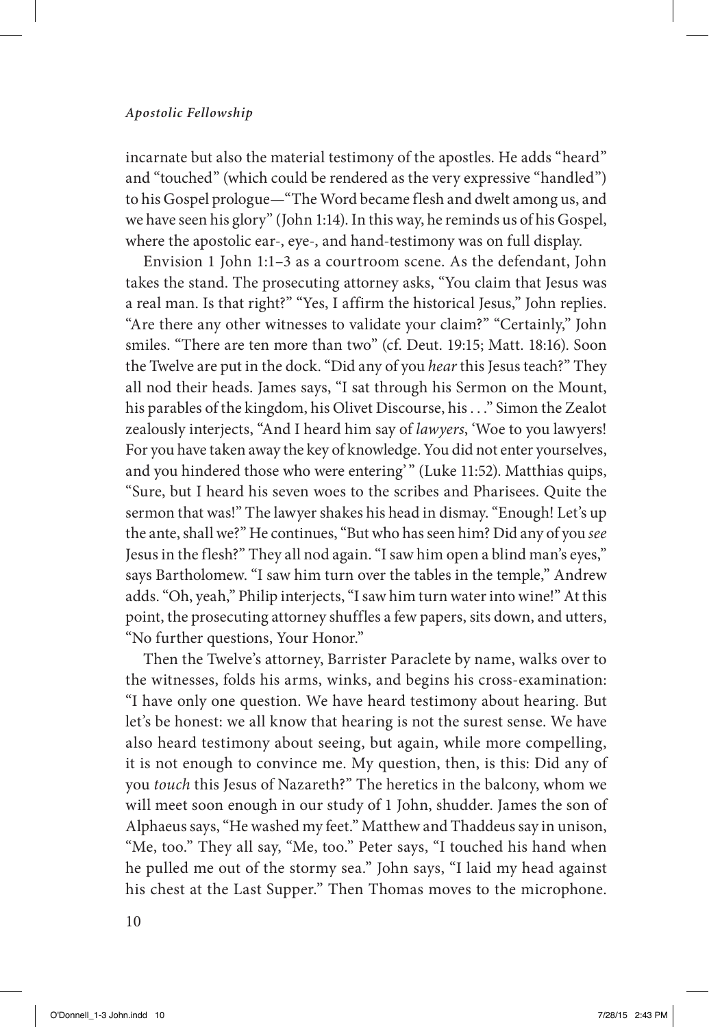#### *Apostolic Fellowship*

incarnate but also the material testimony of the apostles. He adds "heard" and "touched" (which could be rendered as the very expressive "handled") to his Gospel prologue—"The Word became flesh and dwelt among us, and we have seen his glory" (John 1:14). In this way, he reminds us of his Gospel, where the apostolic ear-, eye-, and hand-testimony was on full display.

Envision 1 John 1:1–3 as a courtroom scene. As the defendant, John takes the stand. The prosecuting attorney asks, "You claim that Jesus was a real man. Is that right?" "Yes, I affirm the historical Jesus," John replies. "Are there any other witnesses to validate your claim?" "Certainly," John smiles. "There are ten more than two" (cf. Deut. 19:15; Matt. 18:16). Soon the Twelve are put in the dock. "Did any of you *hear* this Jesus teach?" They all nod their heads. James says, "I sat through his Sermon on the Mount, his parables of the kingdom, his Olivet Discourse, his . . ." Simon the Zealot zealously interjects, "And I heard him say of *lawyers*, 'Woe to you lawyers! For you have taken away the key of knowledge. You did not enter yourselves, and you hindered those who were entering'" (Luke 11:52). Matthias quips, "Sure, but I heard his seven woes to the scribes and Pharisees. Quite the sermon that was!" The lawyer shakes his head in dismay. "Enough! Let's up the ante, shall we?" He continues, "But who has seen him? Did any of you *see* Jesus in the flesh?" They all nod again. "I saw him open a blind man's eyes," says Bartholomew. "I saw him turn over the tables in the temple," Andrew adds. "Oh, yeah," Philip interjects, "I saw him turn water into wine!" At this point, the prosecuting attorney shuffles a few papers, sits down, and utters, "No further questions, Your Honor."

Then the Twelve's attorney, Barrister Paraclete by name, walks over to the witnesses, folds his arms, winks, and begins his cross-examination: "I have only one question. We have heard testimony about hearing. But let's be honest: we all know that hearing is not the surest sense. We have also heard testimony about seeing, but again, while more compelling, it is not enough to convince me. My question, then, is this: Did any of you *touch* this Jesus of Nazareth?" The heretics in the balcony, whom we will meet soon enough in our study of 1 John, shudder. James the son of Alphaeus says, "He washed my feet." Matthew and Thaddeus say in unison, "Me, too." They all say, "Me, too." Peter says, "I touched his hand when he pulled me out of the stormy sea." John says, "I laid my head against his chest at the Last Supper." Then Thomas moves to the microphone.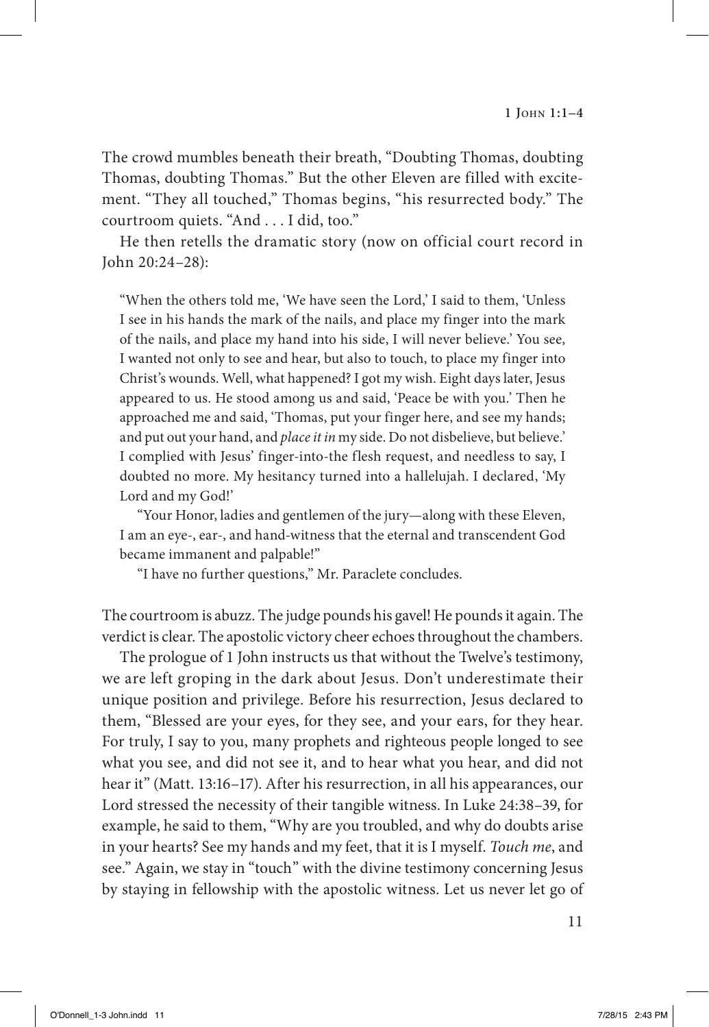The crowd mumbles beneath their breath, "Doubting Thomas, doubting Thomas, doubting Thomas." But the other Eleven are filled with excitement. "They all touched," Thomas begins, "his resurrected body." The courtroom quiets. "And . . . I did, too."

He then retells the dramatic story (now on official court record in John 20:24–28):

"When the others told me, 'We have seen the Lord,' I said to them, 'Unless I see in his hands the mark of the nails, and place my finger into the mark of the nails, and place my hand into his side, I will never believe.' You see, I wanted not only to see and hear, but also to touch, to place my finger into Christ's wounds. Well, what happened? I got my wish. Eight days later, Jesus appeared to us. He stood among us and said, 'Peace be with you.' Then he approached me and said, 'Thomas, put your finger here, and see my hands; and put out your hand, and *place it in* my side. Do not disbelieve, but believe.' I complied with Jesus' finger-into-the flesh request, and needless to say, I doubted no more. My hesitancy turned into a hallelujah. I declared, 'My Lord and my God!'

"Your Honor, ladies and gentlemen of the jury—along with these Eleven, I am an eye-, ear-, and hand-witness that the eternal and transcendent God became immanent and palpable!"

"I have no further questions," Mr. Paraclete concludes.

The courtroom is abuzz. The judge pounds his gavel! He pounds it again. The verdict is clear. The apostolic victory cheer echoes throughout the chambers.

The prologue of 1 John instructs us that without the Twelve's testimony, we are left groping in the dark about Jesus. Don't underestimate their unique position and privilege. Before his resurrection, Jesus declared to them, "Blessed are your eyes, for they see, and your ears, for they hear. For truly, I say to you, many prophets and righteous people longed to see what you see, and did not see it, and to hear what you hear, and did not hear it" (Matt. 13:16-17). After his resurrection, in all his appearances, our Lord stressed the necessity of their tangible witness. In Luke 24:38–39, for example, he said to them, "Why are you troubled, and why do doubts arise in your hearts? See my hands and my feet, that it is I myself. *Touch me*, and see." Again, we stay in "touch" with the divine testimony concerning Jesus by staying in fellowship with the apostolic witness. Let us never let go of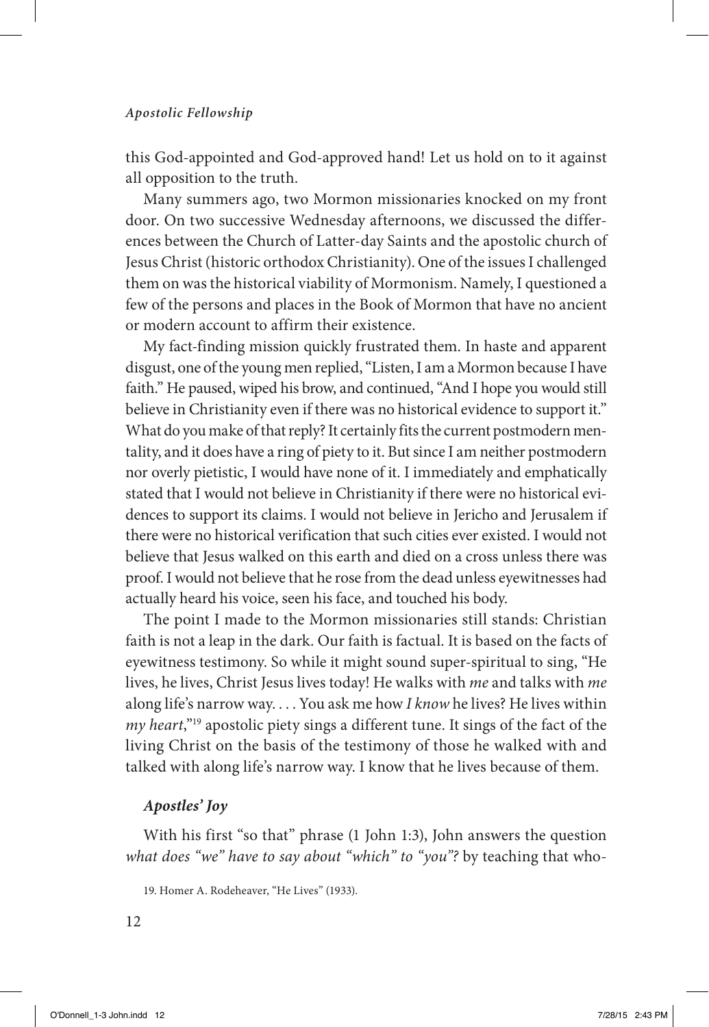### *Apostolic Fellowship*

this God-appointed and God-approved hand! Let us hold on to it against all opposition to the truth.

Many summers ago, two Mormon missionaries knocked on my front door. On two successive Wednesday afternoons, we discussed the differences between the Church of Latter-day Saints and the apostolic church of Jesus Christ (historic orthodox Christianity). One of the issues I challenged them on was the historical viability of Mormonism. Namely, I questioned a few of the persons and places in the Book of Mormon that have no ancient or modern account to affirm their existence.

My fact-finding mission quickly frustrated them. In haste and apparent disgust, one of the young men replied, "Listen, I am a Mormon because I have faith." He paused, wiped his brow, and continued, "And I hope you would still believe in Christianity even if there was no historical evidence to support it." What do you make of that reply? It certainly fits the current postmodern mentality, and it does have a ring of piety to it. But since I am neither postmodern nor overly pietistic, I would have none of it. I immediately and emphatically stated that I would not believe in Christianity if there were no historical evidences to support its claims. I would not believe in Jericho and Jerusalem if there were no historical verification that such cities ever existed. I would not believe that Jesus walked on this earth and died on a cross unless there was proof. I would not believe that he rose from the dead unless eyewitnesses had actually heard his voice, seen his face, and touched his body.

The point I made to the Mormon missionaries still stands: Christian faith is not a leap in the dark. Our faith is factual. It is based on the facts of eyewitness testimony. So while it might sound super-spiritual to sing, "He lives, he lives, Christ Jesus lives today! He walks with *me* and talks with *me* along life's narrow way. . . . You ask me how *I know* he lives? He lives within *my heart*,"19 apostolic piety sings a different tune. It sings of the fact of the living Christ on the basis of the testimony of those he walked with and talked with along life's narrow way. I know that he lives because of them.

## *Apostles' Joy*

With his first "so that" phrase (1 John 1:3), John answers the question *what does "we" have to say about "which" to "you"?* by teaching that who-

<sup>19.</sup> Homer A. Rodeheaver, "He Lives" (1933).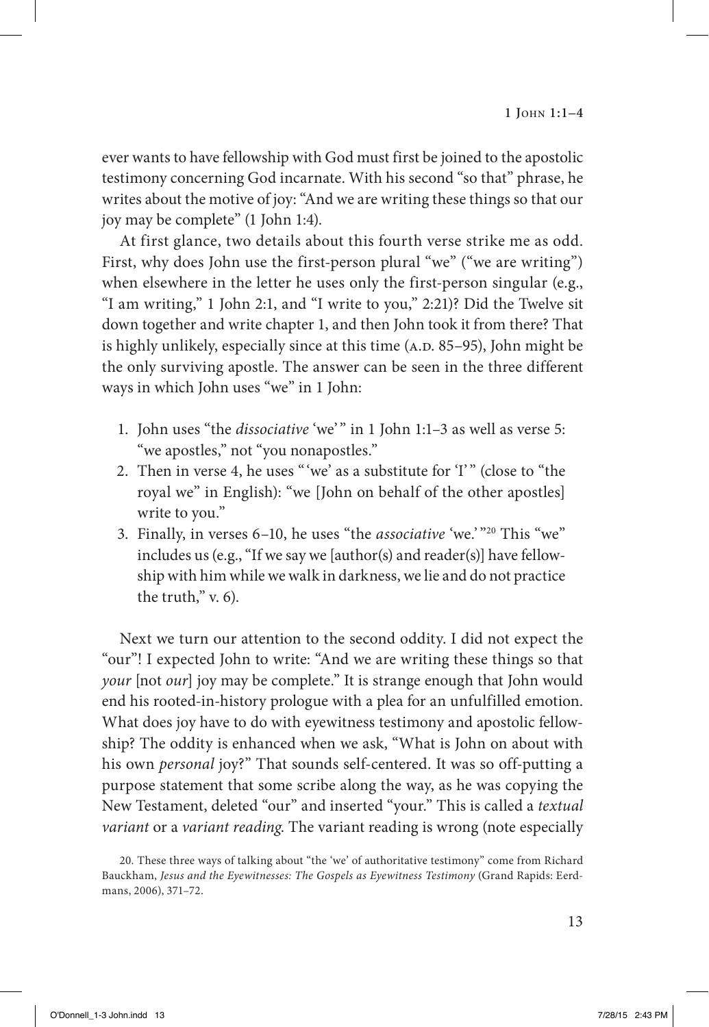ever wants to have fellowship with God must first be joined to the apostolic testimony concerning God incarnate. With his second "so that" phrase, he writes about the motive of joy: "And we are writing these things so that our joy may be complete" (1 John 1:4).

At first glance, two details about this fourth verse strike me as odd. First, why does John use the first-person plural "we" ("we are writing") when elsewhere in the letter he uses only the first-person singular (e.g., "I am writing," 1 John 2:1, and "I write to you," 2:21)? Did the Twelve sit down together and write chapter 1, and then John took it from there? That is highly unlikely, especially since at this time (A.D. 85–95), John might be the only surviving apostle. The answer can be seen in the three different ways in which John uses "we" in 1 John:

- 1. John uses "the *dissociative* 'we' " in 1 John 1:1–3 as well as verse 5: "we apostles," not "you nonapostles."
- 2. Then in verse 4, he uses "'we' as a substitute for 'I'" (close to "the royal we" in English): "we [John on behalf of the other apostles] write to you."
- 3. Finally, in verses 6–10, he uses "the *associative* 'we.' "20 This "we" includes us (e.g., "If we say we [author(s) and reader(s)] have fellowship with him while we walk in darkness, we lie and do not practice the truth," v. 6).

Next we turn our attention to the second oddity. I did not expect the "our"! I expected John to write: "And we are writing these things so that *your* [not *our*] joy may be complete." It is strange enough that John would end his rooted-in-history prologue with a plea for an unfulfilled emotion. What does joy have to do with eyewitness testimony and apostolic fellowship? The oddity is enhanced when we ask, "What is John on about with his own *personal* joy?" That sounds self-centered. It was so off-putting a purpose statement that some scribe along the way, as he was copying the New Testament, deleted "our" and inserted "your." This is called a *textual variant* or a *variant reading*. The variant reading is wrong (note especially

<sup>20.</sup> These three ways of talking about "the 'we' of authoritative testimony" come from Richard Bauckham, *Jesus and the Eyewitnesses: The Gospels as Eyewitness Testimony* (Grand Rapids: Eerdmans, 2006), 371–72.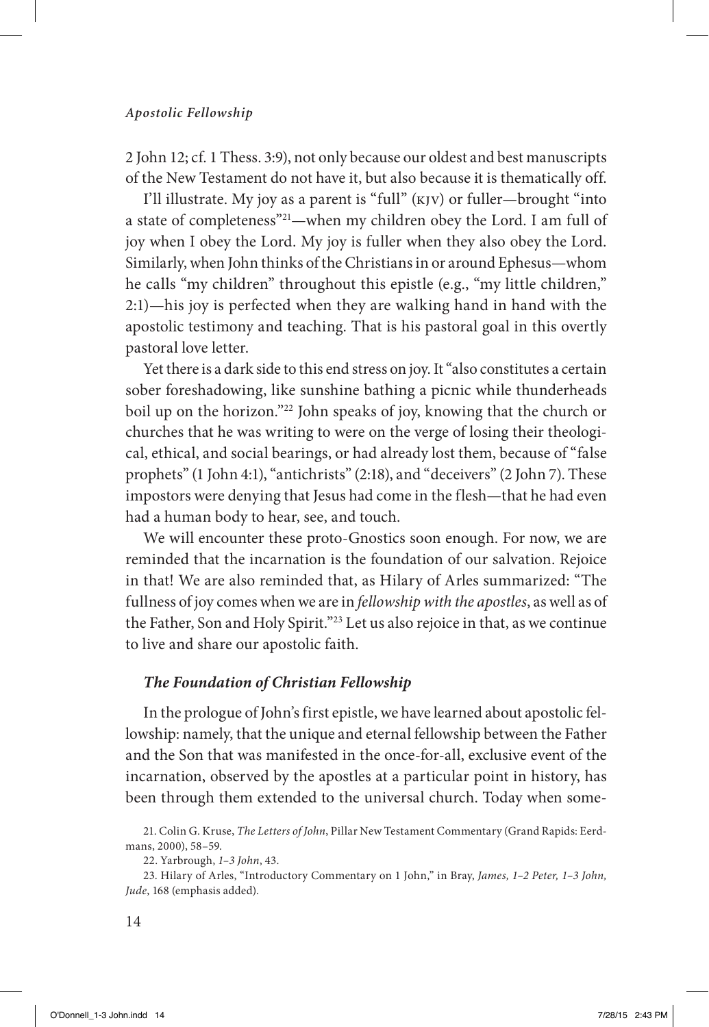#### *Apostolic Fellowship*

2 John 12; cf. 1 Thess. 3:9), not only because our oldest and best manuscripts of the New Testament do not have it, but also because it is thematically off.

I'll illustrate. My joy as a parent is "full" (kjv) or fuller—brought "into a state of completeness"21—when my children obey the Lord. I am full of joy when I obey the Lord. My joy is fuller when they also obey the Lord. Similarly, when John thinks of the Christians in or around Ephesus—whom he calls "my children" throughout this epistle (e.g., "my little children," 2:1)—his joy is perfected when they are walking hand in hand with the apostolic testimony and teaching. That is his pastoral goal in this overtly pastoral love letter.

Yet there is a dark side to this end stress on joy. It "also constitutes a certain sober foreshadowing, like sunshine bathing a picnic while thunderheads boil up on the horizon."22 John speaks of joy, knowing that the church or churches that he was writing to were on the verge of losing their theological, ethical, and social bearings, or had already lost them, because of "false prophets" (1 John 4:1), "antichrists" (2:18), and "deceivers" (2 John 7). These impostors were denying that Jesus had come in the flesh—that he had even had a human body to hear, see, and touch.

We will encounter these proto-Gnostics soon enough. For now, we are reminded that the incarnation is the foundation of our salvation. Rejoice in that! We are also reminded that, as Hilary of Arles summarized: "The fullness of joy comes when we are in *fellowship with the apostles*, as well as of the Father, Son and Holy Spirit."23 Let us also rejoice in that, as we continue to live and share our apostolic faith.

### *The Foundation of Christian Fellowship*

In the prologue of John's first epistle, we have learned about apostolic fellowship: namely, that the unique and eternal fellowship between the Father and the Son that was manifested in the once-for-all, exclusive event of the incarnation, observed by the apostles at a particular point in history, has been through them extended to the universal church. Today when some-

<sup>21.</sup> Colin G. Kruse, *The Letters of John*, Pillar New Testament Commentary (Grand Rapids: Eerdmans, 2000), 58–59.

<sup>22.</sup> Yarbrough, *1–3 John*, 43.

<sup>23.</sup> Hilary of Arles, "Introductory Commentary on 1 John," in Bray, *James, 1–2 Peter, 1–3 John, Jude*, 168 (emphasis added).